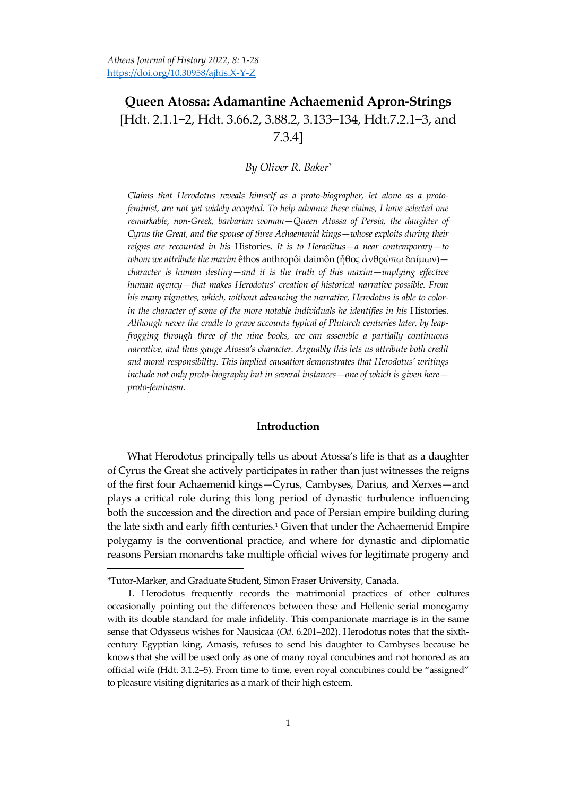# **Queen Atossa: Adamantine Achaemenid Apron-Strings**  \*Hdt. 2.1.1−2, Hdt. 3.66.2, 3.88.2, 3.133−134, Hdt.7.2.1−3, and 7.3.4]

# *By Oliver R. Baker\**

*Claims that Herodotus reveals himself as a proto-biographer, let alone as a protofeminist, are not yet widely accepted. To help advance these claims, I have selected one remarkable, non-Greek, barbarian woman—Queen Atossa of Persia, the daughter of Cyrus the Great, and the spouse of three Achaemenid kings—whose exploits during their reigns are recounted in his* Histories*. It is to Heraclitus—a near contemporary—to whom we attribute the maxim* êthos anthropôi daimôn (ἦθος ἀνθρώπῳ δαίμων) *character is human destiny—and it is the truth of this maxim—implying effective human agency—that makes Herodotus' creation of historical narrative possible. From his many vignettes, which, without advancing the narrative, Herodotus is able to colorin the character of some of the more notable individuals he identifies in his* Histories*. Although never the cradle to grave accounts typical of Plutarch centuries later, by leapfrogging through three of the nine books, we can assemble a partially continuous narrative, and thus gauge Atossa's character. Arguably this lets us attribute both credit and moral responsibility. This implied causation demonstrates that Herodotus' writings include not only proto-biography but in several instances—one of which is given here proto-feminism.* 

## **Introduction**

What Herodotus principally tells us about Atossa's life is that as a daughter of Cyrus the Great she actively participates in rather than just witnesses the reigns of the first four Achaemenid kings—Cyrus, Cambyses, Darius, and Xerxes—and plays a critical role during this long period of dynastic turbulence influencing both the succession and the direction and pace of Persian empire building during the late sixth and early fifth centuries.<sup>1</sup> Given that under the Achaemenid Empire polygamy is the conventional practice, and where for dynastic and diplomatic reasons Persian monarchs take multiple official wives for legitimate progeny and

 $\overline{\phantom{a}}$ 

<sup>\*</sup>Tutor-Marker, and Graduate Student, Simon Fraser University, Canada.

<sup>1.</sup> Herodotus frequently records the matrimonial practices of other cultures occasionally pointing out the differences between these and Hellenic serial monogamy with its double standard for male infidelity. This companionate marriage is in the same sense that Odysseus wishes for Nausicaa (*Od*. 6.201–202). Herodotus notes that the sixthcentury Egyptian king, Amasis, refuses to send his daughter to Cambyses because he knows that she will be used only as one of many royal concubines and not honored as an official wife (Hdt. 3.1.2–5). From time to time, even royal concubines could be 'assigned' to pleasure visiting dignitaries as a mark of their high esteem.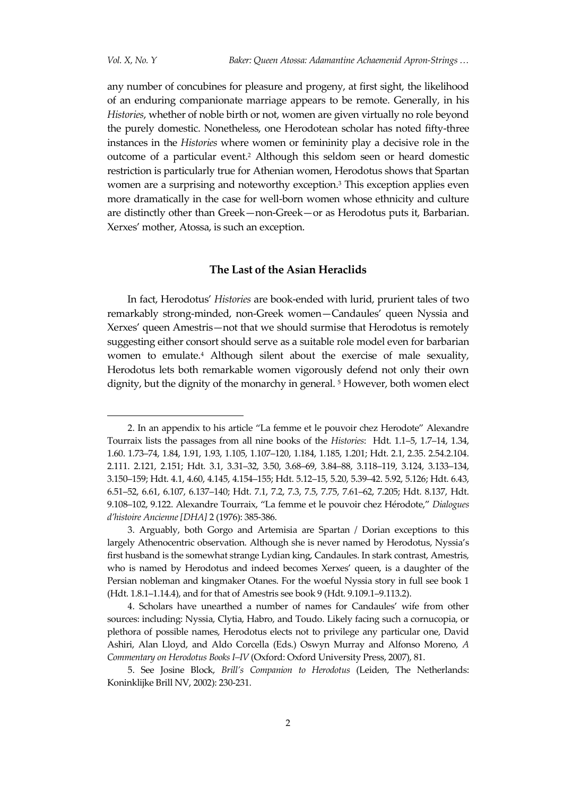any number of concubines for pleasure and progeny, at first sight, the likelihood of an enduring companionate marriage appears to be remote. Generally, in his *Histories*, whether of noble birth or not, women are given virtually no role beyond the purely domestic. Nonetheless, one Herodotean scholar has noted fifty-three instances in the *Histories* where women or femininity play a decisive role in the outcome of a particular event.<sup>2</sup> Although this seldom seen or heard domestic restriction is particularly true for Athenian women, Herodotus shows that Spartan women are a surprising and noteworthy exception.<sup>3</sup> This exception applies even more dramatically in the case for well-born women whose ethnicity and culture are distinctly other than Greek—non-Greek—or as Herodotus puts it, Barbarian. Xerxes' mother, Atossa, is such an exception.

# **The Last of the Asian Heraclids**

In fact, Herodotus' *Histories* are book-ended with lurid, prurient tales of two remarkably strong-minded, non-Greek women—Candaules' queen Nyssia and Xerxes' queen Amestris—not that we should surmise that Herodotus is remotely suggesting either consort should serve as a suitable role model even for barbarian women to emulate.<sup>4</sup> Although silent about the exercise of male sexuality, Herodotus lets both remarkable women vigorously defend not only their own dignity, but the dignity of the monarchy in general. <sup>5</sup> However, both women elect

<sup>2.</sup> In an appendix to his article 'La femme et le pouvoir chez Herodote' Alexandre Tourraix lists the passages from all nine books of the *Histories*: Hdt. 1.1–5, 1.7–14, 1.34, 1.60. 1.73–74, 1.84, 1.91, 1.93, 1.105, 1.107–120, 1.184, 1.185, 1.201; Hdt. 2.1, 2.35. 2.54.2.104. 2.111. 2.121, 2.151; Hdt. 3.1, 3.31–32, 3.50, 3.68–69, 3.84–88, 3.118–119, 3.124, 3.133–134, 3.150–159; Hdt. 4.1, 4.60, 4.145, 4.154–155; Hdt. 5.12–15, 5.20, 5.39–42. 5.92, 5.126; Hdt. 6.43, 6.51–52, 6.61, 6.107, 6.137–140; Hdt. 7.1, 7.2, 7.3, 7.5, 7.75, 7.61–62, 7.205; Hdt. 8.137, Hdt. 9.108–102, 9.122. Alexandre Tourraix, 'La femme et le pouvoir chez Hérodote,' *Dialogues d'histoire Ancienne [DHA]* 2 (1976): 385-386.

<sup>3.</sup> Arguably, both Gorgo and Artemisia are Spartan / Dorian exceptions to this largely Athenocentric observation. Although she is never named by Herodotus, Nyssia's first husband is the somewhat strange Lydian king, Candaules. In stark contrast, Amestris, who is named by Herodotus and indeed becomes Xerxes' queen, is a daughter of the Persian nobleman and kingmaker Otanes. For the woeful Nyssia story in full see book 1 (Hdt. 1.8.1–1.14.4), and for that of Amestris see book 9 (Hdt. 9.109.1–9.113.2).

<sup>4.</sup> Scholars have unearthed a number of names for Candaules' wife from other sources: including: Nyssia, Clytia, Habro, and Toudo. Likely facing such a cornucopia, or plethora of possible names, Herodotus elects not to privilege any particular one, David Ashiri, Alan Lloyd, and Aldo Corcella (Eds.) Oswyn Murray and Alfonso Moreno, *A Commentary on Herodotus Books I–IV* (Oxford: Oxford University Press, 2007), 81.

<sup>5.</sup> See Josine Block, *Brill's Companion to Herodotus* (Leiden, The Netherlands: Koninklijke Brill NV, 2002): 230-231.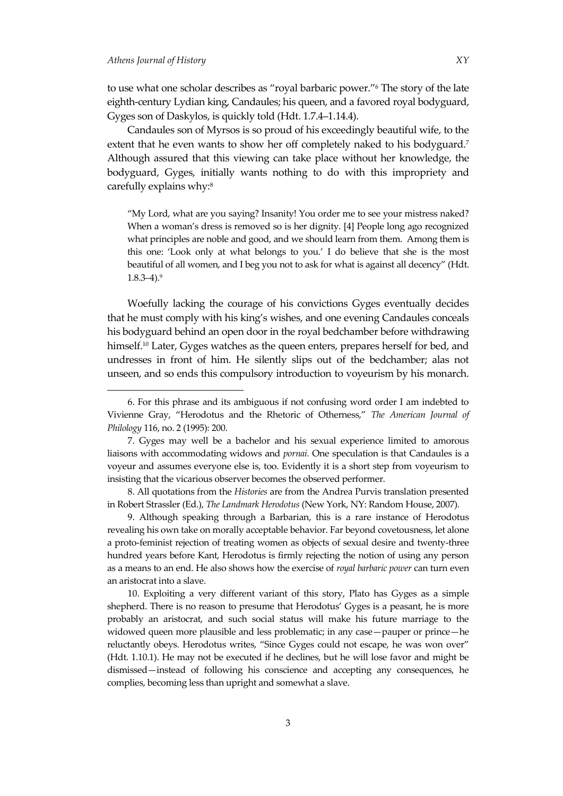to use what one scholar describes as 'royal barbaric power.'<sup>6</sup> The story of the late eighth-century Lydian king, Candaules; his queen, and a favored royal bodyguard, Gyges son of Daskylos, is quickly told (Hdt. 1.7.4–1.14.4).

Candaules son of Myrsos is so proud of his exceedingly beautiful wife, to the extent that he even wants to show her off completely naked to his bodyguard.<sup>7</sup> Although assured that this viewing can take place without her knowledge, the bodyguard, Gyges, initially wants nothing to do with this impropriety and carefully explains why:<sup>8</sup>

'My Lord, what are you saying? Insanity! You order me to see your mistress naked? When a woman's dress is removed so is her dignity. [4] People long ago recognized what principles are noble and good, and we should learn from them. Among them is this one: 'Look only at what belongs to you.' I do believe that she is the most beautiful of all women, and I beg you not to ask for what is against all decency' (Hdt.  $1.8.3 - 4$ ).<sup>9</sup>

Woefully lacking the courage of his convictions Gyges eventually decides that he must comply with his king's wishes, and one evening Candaules conceals his bodyguard behind an open door in the royal bedchamber before withdrawing himself.<sup>10</sup> Later, Gyges watches as the queen enters, prepares herself for bed, and undresses in front of him. He silently slips out of the bedchamber; alas not unseen, and so ends this compulsory introduction to voyeurism by his monarch.

8. All quotations from the *Histories* are from the Andrea Purvis translation presented in Robert Strassler (Ed.), *The Landmark Herodotus* (New York, NY: Random House, 2007).

9. Although speaking through a Barbarian, this is a rare instance of Herodotus revealing his own take on morally acceptable behavior. Far beyond covetousness, let alone a proto-feminist rejection of treating women as objects of sexual desire and twenty-three hundred years before Kant, Herodotus is firmly rejecting the notion of using any person as a means to an end. He also shows how the exercise of *royal barbaric power* can turn even an aristocrat into a slave.

10. Exploiting a very different variant of this story, Plato has Gyges as a simple shepherd. There is no reason to presume that Herodotus' Gyges is a peasant, he is more probably an aristocrat, and such social status will make his future marriage to the widowed queen more plausible and less problematic; in any case—pauper or prince—he reluctantly obeys. Herodotus writes, 'Since Gyges could not escape, he was won over' (Hdt. 1.10.1). He may not be executed if he declines, but he will lose favor and might be dismissed—instead of following his conscience and accepting any consequences, he complies, becoming less than upright and somewhat a slave.

<sup>6.</sup> For this phrase and its ambiguous if not confusing word order I am indebted to Vivienne Gray, 'Herodotus and the Rhetoric of Otherness,' *The American Journal of Philology* 116, no. 2 (1995): 200.

<sup>7.</sup> Gyges may well be a bachelor and his sexual experience limited to amorous liaisons with accommodating widows and *pornai.* One speculation is that Candaules is a voyeur and assumes everyone else is, too. Evidently it is a short step from voyeurism to insisting that the vicarious observer becomes the observed performer.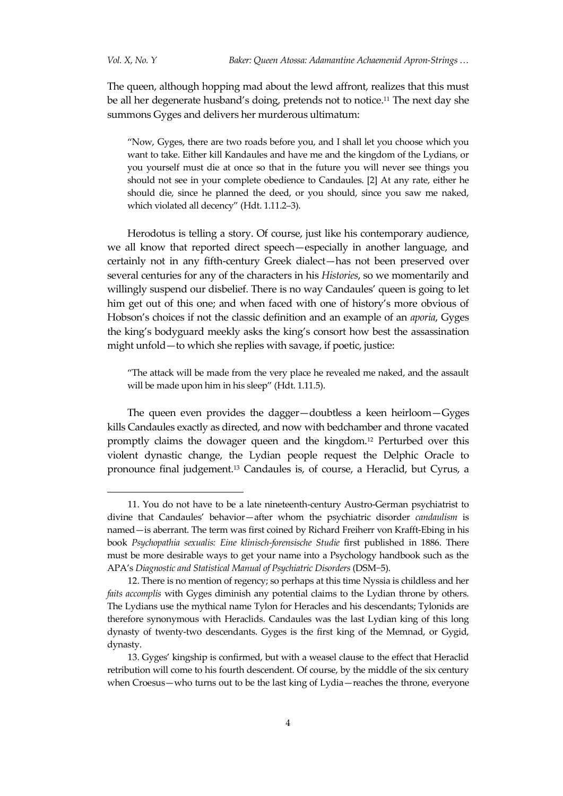$\overline{a}$ 

The queen, although hopping mad about the lewd affront, realizes that this must be all her degenerate husband's doing, pretends not to notice.<sup>11</sup> The next day she summons Gyges and delivers her murderous ultimatum:

'Now, Gyges, there are two roads before you, and I shall let you choose which you want to take. Either kill Kandaules and have me and the kingdom of the Lydians, or you yourself must die at once so that in the future you will never see things you should not see in your complete obedience to Candaules. [2] At any rate, either he should die, since he planned the deed, or you should, since you saw me naked, which violated all decency' (Hdt. 1.11.2–3).

Herodotus is telling a story. Of course, just like his contemporary audience, we all know that reported direct speech—especially in another language, and certainly not in any fifth-century Greek dialect—has not been preserved over several centuries for any of the characters in his *Histories*, so we momentarily and willingly suspend our disbelief. There is no way Candaules' queen is going to let him get out of this one; and when faced with one of history's more obvious of Hobson's choices if not the classic definition and an example of an *aporia*, Gyges the king's bodyguard meekly asks the king's consort how best the assassination might unfold—to which she replies with savage, if poetic, justice:

'The attack will be made from the very place he revealed me naked, and the assault will be made upon him in his sleep" (Hdt. 1.11.5).

The queen even provides the dagger—doubtless a keen heirloom—Gyges kills Candaules exactly as directed, and now with bedchamber and throne vacated promptly claims the dowager queen and the kingdom.<sup>12</sup> Perturbed over this violent dynastic change, the Lydian people request the Delphic Oracle to pronounce final judgement.<sup>13</sup> Candaules is, of course, a Heraclid, but Cyrus, a

<sup>11.</sup> You do not have to be a late nineteenth-century Austro-German psychiatrist to divine that Candaules' behavior—after whom the psychiatric disorder *candaulism* is named—is aberrant. The term was first coined by [Richard Freiherr von Krafft-Ebing](https://en.wikipedia.org/wiki/Richard_von_Krafft-Ebing) in his book *Psychopathia sexualis: Eine klinisch-forensische Studie* first published in 1886. There must be more desirable ways to get your name into a Psychology handbook such as the APA's *Diagnostic and Statistical Manual of Psychiatric Disorders* (DSM−5).

<sup>12.</sup> There is no mention of regency; so perhaps at this time Nyssia is childless and her *faits accomplis* with Gyges diminish any potential claims to the Lydian throne by others. The Lydians use the mythical name Tylon for Heracles and his descendants; Tylonids are therefore synonymous with Heraclids. Candaules was the last Lydian king of this long dynasty of twenty-two descendants. Gyges is the first king of the Memnad, or Gygid, dynasty.

<sup>13.</sup> Gyges' kingship is confirmed, but with a weasel clause to the effect that Heraclid retribution will come to his fourth descendent. Of course, by the middle of the six century when Croesus—who turns out to be the last king of Lydia—reaches the throne, everyone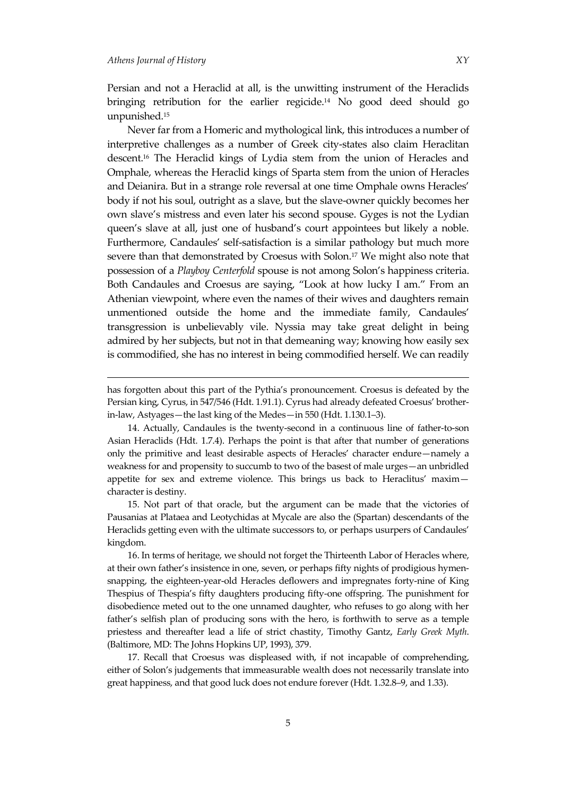$\overline{a}$ 

Persian and not a Heraclid at all, is the unwitting instrument of the Heraclids bringing retribution for the earlier regicide.<sup>14</sup> No good deed should go unpunished.<sup>15</sup>

Never far from a Homeric and mythological link, this introduces a number of interpretive challenges as a number of Greek city-states also claim Heraclitan descent. <sup>16</sup> The Heraclid kings of Lydia stem from the union of Heracles and Omphale, whereas the Heraclid kings of Sparta stem from the union of Heracles and Deianira. But in a strange role reversal at one time Omphale owns Heracles' body if not his soul, outright as a slave, but the slave-owner quickly becomes her own slave's mistress and even later his second spouse. Gyges is not the Lydian queen's slave at all, just one of husband's court appointees but likely a noble. Furthermore, Candaules' self-satisfaction is a similar pathology but much more severe than that demonstrated by Croesus with Solon.<sup>17</sup> We might also note that possession of a *Playboy Centerfold* spouse is not among Solon's happiness criteria. Both Candaules and Croesus are saying, 'Look at how lucky I am.' From an Athenian viewpoint, where even the names of their wives and daughters remain unmentioned outside the home and the immediate family, Candaules' transgression is unbelievably vile. Nyssia may take great delight in being admired by her subjects, but not in that demeaning way; knowing how easily sex is commodified, she has no interest in being commodified herself. We can readily

has forgotten about this part of the Pythia's pronouncement. Croesus is defeated by the Persian king, Cyrus, in 547/546 (Hdt. 1.91.1). Cyrus had already defeated Croesus' brotherin-law, Astyages—the last king of the Medes—in 550 (Hdt. 1.130.1–3).

15. Not part of that oracle, but the argument can be made that the victories of Pausanias at Plataea and Leotychidas at Mycale are also the (Spartan) descendants of the Heraclids getting even with the ultimate successors to, or perhaps usurpers of Candaules' kingdom.

16. In terms of heritage, we should not forget the Thirteenth Labor of Heracles where, at their own father's insistence in one, seven, or perhaps fifty nights of prodigious hymensnapping, the eighteen-year-old Heracles deflowers and impregnates forty-nine of King Thespius of Thespia's fifty daughters producing fifty-one offspring. The punishment for disobedience meted out to the one unnamed daughter, who refuses to go along with her father's selfish plan of producing sons with the hero, is forthwith to serve as a temple priestess and thereafter lead a life of strict chastity, Timothy Gantz, *Early Greek Myth*. (Baltimore, MD: The Johns Hopkins UP, 1993), 379.

17. Recall that Croesus was displeased with, if not incapable of comprehending, either of Solon's judgements that immeasurable wealth does not necessarily translate into great happiness, and that good luck does not endure forever (Hdt. 1.32.8–9, and 1.33).

<sup>14.</sup> Actually, Candaules is the twenty-second in a continuous line of father-to-son Asian Heraclids (Hdt. 1.7.4). Perhaps the point is that after that number of generations only the primitive and least desirable aspects of Heracles' character endure—namely a weakness for and propensity to succumb to two of the basest of male urges—an unbridled appetite for sex and extreme violence. This brings us back to Heraclitus' maxim character is destiny.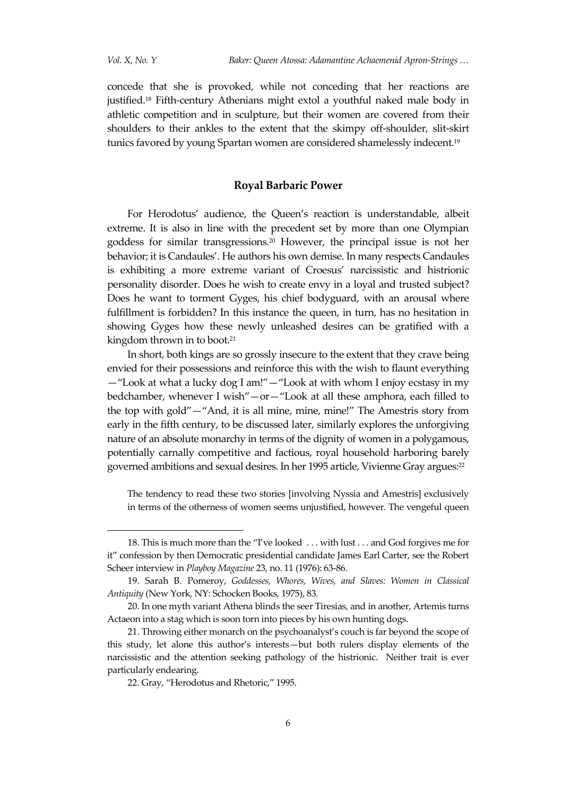concede that she is provoked, while not conceding that her reactions are justified.<sup>18</sup> Fifth-century Athenians might extol a youthful naked male body in athletic competition and in sculpture, but their women are covered from their shoulders to their ankles to the extent that the skimpy off-shoulder, slit-skirt tunics favored by young Spartan women are considered shamelessly indecent.<sup>19</sup>

## **Royal Barbaric Power**

For Herodotus' audience, the Queen's reaction is understandable, albeit extreme. It is also in line with the precedent set by more than one Olympian goddess for similar transgressions.<sup>20</sup> However, the principal issue is not her behavior; it is Candaules'. He authors his own demise. In many respects Candaules is exhibiting a more extreme variant of Croesus' narcissistic and histrionic personality disorder. Does he wish to create envy in a loyal and trusted subject? Does he want to torment Gyges, his chief bodyguard, with an arousal where fulfillment is forbidden? In this instance the queen, in turn, has no hesitation in showing Gyges how these newly unleashed desires can be gratified with a kingdom thrown in to boot.<sup>21</sup>

In short, both kings are so grossly insecure to the extent that they crave being envied for their possessions and reinforce this with the wish to flaunt everything —'Look at what a lucky dog I am!'—'Look at with whom I enjoy ecstasy in my bedchamber, whenever I wish"-or-"Look at all these amphora, each filled to the top with gold'—'And, it is all mine, mine, mine!' The Amestris story from early in the fifth century, to be discussed later, similarly explores the unforgiving nature of an absolute monarchy in terms of the dignity of women in a polygamous, potentially carnally competitive and factious, royal household harboring barely governed ambitions and sexual desires. In her 1995 article, Vivienne Gray argues:<sup>22</sup>

The tendency to read these two stories [involving Nyssia and Amestris] exclusively in terms of the otherness of women seems unjustified, however. The vengeful queen

<sup>18.</sup> This is much more than the 'I've looked . . . with lust . . . and God forgives me for it' confession by then Democratic presidential candidate James Earl Carter, see the Robert Scheer interview in *Playboy Magazine* 23, no. 11 (1976): 63-86.

<sup>19.</sup> Sarah B. Pomeroy, *Goddesses, Whores, Wives, and Slaves: Women in Classical Antiquity* (New York, NY: Schocken Books, 1975), 83.

<sup>20.</sup> In one myth variant Athena blinds the seer Tiresias, and in another, Artemis turns Actaeon into a stag which is soon torn into pieces by his own hunting dogs.

<sup>21.</sup> Throwing either monarch on the psychoanalyst's couch is far beyond the scope of this study, let alone this author's interests—but both rulers display elements of the narcissistic and the attention seeking pathology of the histrionic. Neither trait is ever particularly endearing.

<sup>22.</sup> Gray, 'Herodotus and Rhetoric,' 1995.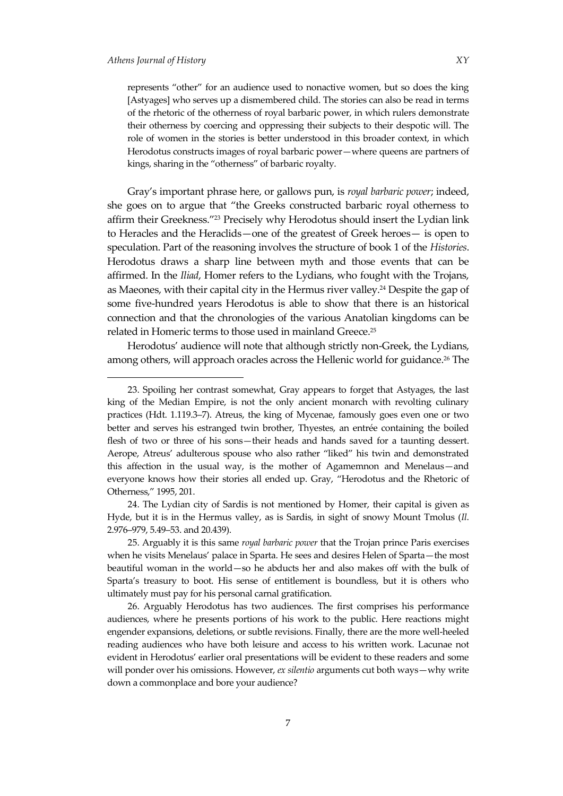$\overline{a}$ 

represents 'other' for an audience used to nonactive women, but so does the king [Astyages] who serves up a dismembered child. The stories can also be read in terms of the rhetoric of the otherness of royal barbaric power, in which rulers demonstrate their otherness by coercing and oppressing their subjects to their despotic will. The role of women in the stories is better understood in this broader context, in which Herodotus constructs images of royal barbaric power—where queens are partners of kings, sharing in the 'otherness' of barbaric royalty.

Gray's important phrase here, or gallows pun, is *royal barbaric power*; indeed, she goes on to argue that 'the Greeks constructed barbaric royal otherness to affirm their Greekness.' <sup>23</sup> Precisely why Herodotus should insert the Lydian link to Heracles and the Heraclids—one of the greatest of Greek heroes— is open to speculation. Part of the reasoning involves the structure of book 1 of the *Histories*. Herodotus draws a sharp line between myth and those events that can be affirmed. In the *Iliad*, Homer refers to the Lydians, who fought with the Trojans, as Maeones, with their capital city in the Hermus river valley.<sup>24</sup> Despite the gap of some five-hundred years Herodotus is able to show that there is an historical connection and that the chronologies of the various Anatolian kingdoms can be related in Homeric terms to those used in mainland Greece.<sup>25</sup>

Herodotus' audience will note that although strictly non-Greek, the Lydians, among others, will approach oracles across the Hellenic world for guidance.<sup>26</sup> The

24. The Lydian city of Sardis is not mentioned by Homer, their capital is given as Hyde, but it is in the Hermus valley, as is Sardis, in sight of snowy Mount Tmolus (*Il*. 2.976–979, 5.49–53. and 20.439).

25. Arguably it is this same *royal barbaric power* that the Trojan prince Paris exercises when he visits Menelaus' palace in Sparta. He sees and desires Helen of Sparta—the most beautiful woman in the world—so he abducts her and also makes off with the bulk of Sparta's treasury to boot. His sense of entitlement is boundless, but it is others who ultimately must pay for his personal carnal gratification.

26. Arguably Herodotus has two audiences. The first comprises his performance audiences, where he presents portions of his work to the public. Here reactions might engender expansions, deletions, or subtle revisions. Finally, there are the more well-heeled reading audiences who have both leisure and access to his written work. Lacunae not evident in Herodotus' earlier oral presentations will be evident to these readers and some will ponder over his omissions. However, *ex silentio* arguments cut both ways—why write down a commonplace and bore your audience?

<sup>23.</sup> Spoiling her contrast somewhat, Gray appears to forget that Astyages, the last king of the Median Empire, is not the only ancient monarch with revolting culinary practices (Hdt. 1.119.3–7). Atreus, the king of Mycenae, famously goes even one or two better and serves his estranged twin brother, Thyestes, an entrée containing the boiled flesh of two or three of his sons—their heads and hands saved for a taunting dessert. Aerope, Atreus' adulterous spouse who also rather 'liked' his twin and demonstrated this affection in the usual way, is the mother of Agamemnon and Menelaus—and everyone knows how their stories all ended up. Gray, 'Herodotus and the Rhetoric of Otherness,' 1995, 201.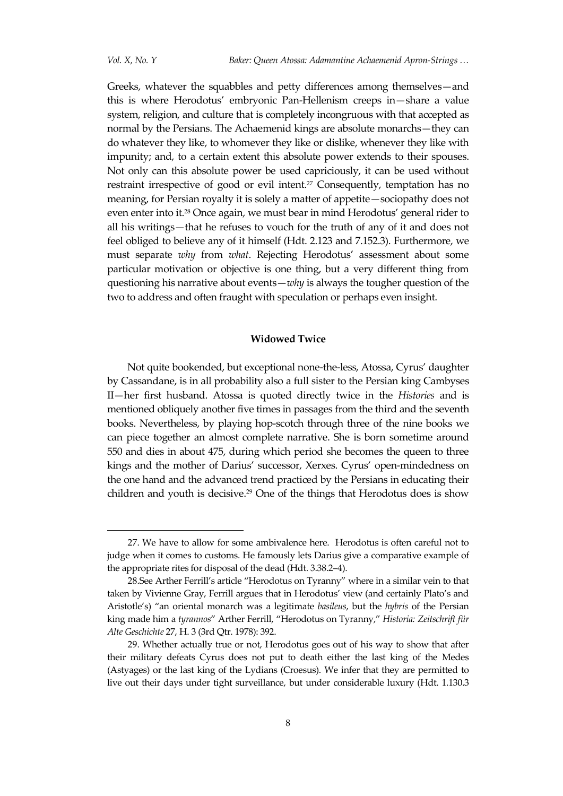Greeks, whatever the squabbles and petty differences among themselves—and this is where Herodotus' embryonic Pan-Hellenism creeps in—share a value system, religion, and culture that is completely incongruous with that accepted as normal by the Persians. The Achaemenid kings are absolute monarchs—they can do whatever they like, to whomever they like or dislike, whenever they like with impunity; and, to a certain extent this absolute power extends to their spouses. Not only can this absolute power be used capriciously, it can be used without restraint irrespective of good or evil intent.<sup>27</sup> Consequently, temptation has no meaning, for Persian royalty it is solely a matter of appetite—sociopathy does not even enter into it.<sup>28</sup> Once again, we must bear in mind Herodotus' general rider to all his writings—that he refuses to vouch for the truth of any of it and does not feel obliged to believe any of it himself (Hdt. 2.123 and 7.152.3). Furthermore, we must separate *why* from *what*. Rejecting Herodotus' assessment about some particular motivation or objective is one thing, but a very different thing from questioning his narrative about events—*why* is always the tougher question of the two to address and often fraught with speculation or perhaps even insight.

# **Widowed Twice**

Not quite bookended, but exceptional none-the-less, Atossa, Cyrus' daughter by Cassandane, is in all probability also a full sister to the Persian king Cambyses II—her first husband. Atossa is quoted directly twice in the *Histories* and is mentioned obliquely another five times in passages from the third and the seventh books. Nevertheless, by playing hop-scotch through three of the nine books we can piece together an almost complete narrative. She is born sometime around 550 and dies in about 475, during which period she becomes the queen to three kings and the mother of Darius' successor, Xerxes. Cyrus' open-mindedness on the one hand and the advanced trend practiced by the Persians in educating their children and youth is decisive.<sup>29</sup> One of the things that Herodotus does is show

<sup>27.</sup> We have to allow for some ambivalence here. Herodotus is often careful not to judge when it comes to customs. He famously lets Darius give a comparative example of the appropriate rites for disposal of the dead (Hdt. 3.38.2–4).

<sup>28.</sup>See Arther Ferrill's article 'Herodotus on Tyranny' where in a similar vein to that taken by Vivienne Gray, Ferrill argues that in Herodotus' view (and certainly Plato's and Aristotle's) "an oriental monarch was a legitimate *basileus*, but the *hybris* of the Persian king made him a *tyrannos*' Arther Ferrill, 'Herodotus on Tyranny,' *Historia: Zeitschrift für Alte Geschichte* 27, H. 3 (3rd Qtr. 1978): 392.

<sup>29.</sup> Whether actually true or not, Herodotus goes out of his way to show that after their military defeats Cyrus does not put to death either the last king of the Medes (Astyages) or the last king of the Lydians (Croesus). We infer that they are permitted to live out their days under tight surveillance, but under considerable luxury (Hdt. 1.130.3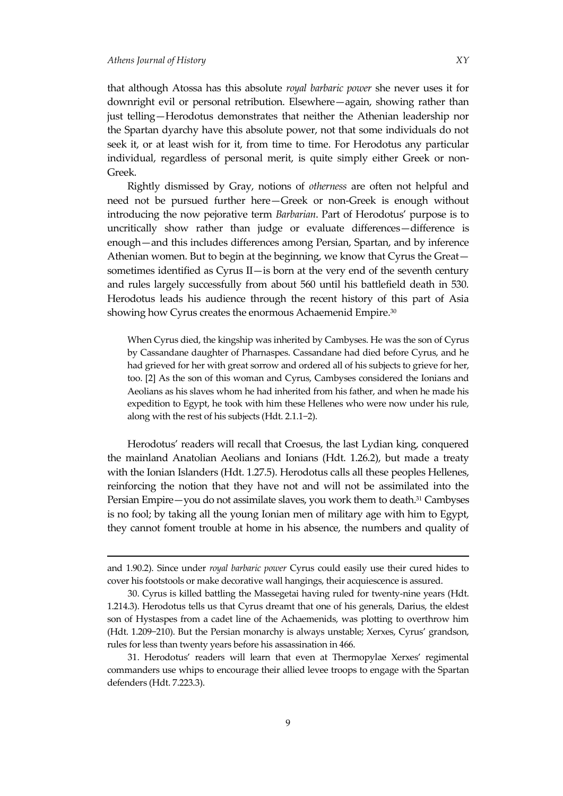1

that although Atossa has this absolute *royal barbaric power* she never uses it for downright evil or personal retribution. Elsewhere—again, showing rather than just telling—Herodotus demonstrates that neither the Athenian leadership nor the Spartan dyarchy have this absolute power, not that some individuals do not seek it, or at least wish for it, from time to time. For Herodotus any particular individual, regardless of personal merit, is quite simply either Greek or non-Greek.

Rightly dismissed by Gray, notions of *otherness* are often not helpful and need not be pursued further here—Greek or non-Greek is enough without introducing the now pejorative term *Barbarian*. Part of Herodotus' purpose is to uncritically show rather than judge or evaluate differences—difference is enough—and this includes differences among Persian, Spartan, and by inference Athenian women. But to begin at the beginning, we know that Cyrus the Great sometimes identified as Cyrus II—is born at the very end of the seventh century and rules largely successfully from about 560 until his battlefield death in 530. Herodotus leads his audience through the recent history of this part of Asia showing how Cyrus creates the enormous Achaemenid Empire.<sup>30</sup>

When Cyrus died, the kingship was inherited by Cambyses. He was the son of Cyrus by Cassandane daughter of Pharnaspes. Cassandane had died before Cyrus, and he had grieved for her with great sorrow and ordered all of his subjects to grieve for her, too. [2] As the son of this woman and Cyrus, Cambyses considered the Ionians and Aeolians as his slaves whom he had inherited from his father, and when he made his expedition to Egypt, he took with him these Hellenes who were now under his rule, along with the rest of his subjects (Hdt. 2.1.1−2).

Herodotus' readers will recall that Croesus, the last Lydian king, conquered the mainland Anatolian Aeolians and Ionians (Hdt. 1.26.2), but made a treaty with the Ionian Islanders (Hdt. 1.27.5). Herodotus calls all these peoples Hellenes, reinforcing the notion that they have not and will not be assimilated into the Persian Empire—you do not assimilate slaves, you work them to death.<sup>31</sup> Cambyses is no fool; by taking all the young Ionian men of military age with him to Egypt, they cannot foment trouble at home in his absence, the numbers and quality of

and 1.90.2). Since under *royal barbaric power* Cyrus could easily use their cured hides to cover his footstools or make decorative wall hangings, their acquiescence is assured.

<sup>30.</sup> Cyrus is killed battling the Massegetai having ruled for twenty-nine years (Hdt. 1.214.3). Herodotus tells us that Cyrus dreamt that one of his generals, Darius, the eldest son of Hystaspes from a cadet line of the Achaemenids, was plotting to overthrow him (Hdt. 1.209−210). But the Persian monarchy is always unstable; Xerxes, Cyrus' grandson, rules for less than twenty years before his assassination in 466.

<sup>31.</sup> Herodotus' readers will learn that even at Thermopylae Xerxes' regimental commanders use whips to encourage their allied levee troops to engage with the Spartan defenders (Hdt. 7.223.3).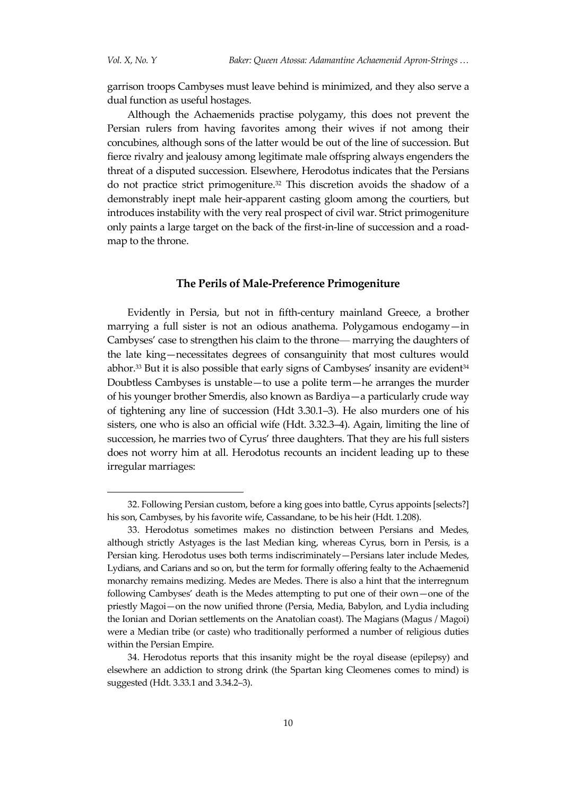$\overline{a}$ 

garrison troops Cambyses must leave behind is minimized, and they also serve a dual function as useful hostages.

Although the Achaemenids practise polygamy, this does not prevent the Persian rulers from having favorites among their wives if not among their concubines, although sons of the latter would be out of the line of succession. But fierce rivalry and jealousy among legitimate male offspring always engenders the threat of a disputed succession. Elsewhere, Herodotus indicates that the Persians do not practice strict primogeniture.<sup>32</sup> This discretion avoids the shadow of a demonstrably inept male heir-apparent casting gloom among the courtiers, but introduces instability with the very real prospect of civil war. Strict primogeniture only paints a large target on the back of the first-in-line of succession and a roadmap to the throne.

# **The Perils of Male-Preference Primogeniture**

Evidently in Persia, but not in fifth-century mainland Greece, a brother marrying a full sister is not an odious anathema. Polygamous endogamy—in Cambyses' case to strengthen his claim to the throne⸻ marrying the daughters of the late king—necessitates degrees of consanguinity that most cultures would abhor.<sup>33</sup> But it is also possible that early signs of Cambyses' insanity are evident $34$ Doubtless Cambyses is unstable—to use a polite term—he arranges the murder of his younger brother Smerdis, also known as Bardiya—a particularly crude way of tightening any line of succession (Hdt 3.30.1–3). He also murders one of his sisters, one who is also an official wife (Hdt. 3.32.3–4). Again, limiting the line of succession, he marries two of Cyrus' three daughters. That they are his full sisters does not worry him at all. Herodotus recounts an incident leading up to these irregular marriages:

<sup>32.</sup> Following Persian custom, before a king goes into battle, Cyrus appoints [selects?] his son, Cambyses, by his favorite wife, Cassandane, to be his heir (Hdt. 1.208).

<sup>33.</sup> Herodotus sometimes makes no distinction between Persians and Medes, although strictly Astyages is the last Median king, whereas Cyrus, born in Persis, is a Persian king. Herodotus uses both terms indiscriminately—Persians later include Medes, Lydians, and Carians and so on, but the term for formally offering fealty to the Achaemenid monarchy remains medizing. Medes are Medes. There is also a hint that the interregnum following Cambyses' death is the Medes attempting to put one of their own—one of the priestly Magoi—on the now unified throne (Persia, Media, Babylon, and Lydia including the Ionian and Dorian settlements on the Anatolian coast). The Magians (Magus / Magoi) were a Median tribe (or caste) who traditionally performed a number of religious duties within the Persian Empire.

<sup>34.</sup> Herodotus reports that this insanity might be the royal disease (epilepsy) and elsewhere an addiction to strong drink (the Spartan king Cleomenes comes to mind) is suggested (Hdt. 3.33.1 and 3.34.2–3).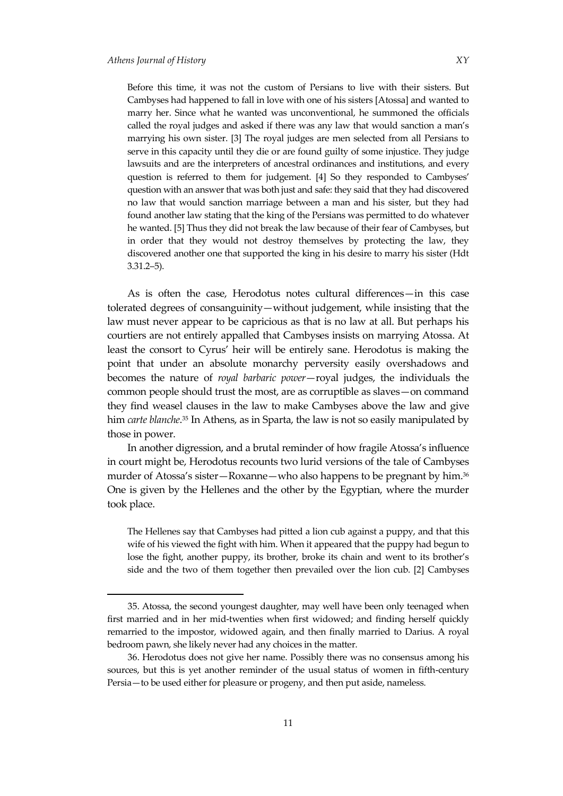Before this time, it was not the custom of Persians to live with their sisters. But Cambyses had happened to fall in love with one of his sisters [Atossa] and wanted to marry her. Since what he wanted was unconventional, he summoned the officials called the royal judges and asked if there was any law that would sanction a man's marrying his own sister. [3] The royal judges are men selected from all Persians to serve in this capacity until they die or are found guilty of some injustice. They judge lawsuits and are the interpreters of ancestral ordinances and institutions, and every question is referred to them for judgement. [4] So they responded to Cambyses' question with an answer that was both just and safe: they said that they had discovered no law that would sanction marriage between a man and his sister, but they had found another law stating that the king of the Persians was permitted to do whatever he wanted. [5] Thus they did not break the law because of their fear of Cambyses, but in order that they would not destroy themselves by protecting the law, they discovered another one that supported the king in his desire to marry his sister (Hdt 3.31.2–5).

As is often the case, Herodotus notes cultural differences—in this case tolerated degrees of consanguinity—without judgement, while insisting that the law must never appear to be capricious as that is no law at all. But perhaps his courtiers are not entirely appalled that Cambyses insists on marrying Atossa. At least the consort to Cyrus' heir will be entirely sane. Herodotus is making the point that under an absolute monarchy perversity easily overshadows and becomes the nature of *royal barbaric power*—royal judges, the individuals the common people should trust the most, are as corruptible as slaves—on command they find weasel clauses in the law to make Cambyses above the law and give him *carte blanche*. <sup>35</sup> In Athens, as in Sparta, the law is not so easily manipulated by those in power.

In another digression, and a brutal reminder of how fragile Atossa's influence in court might be, Herodotus recounts two lurid versions of the tale of Cambyses murder of Atossa's sister—Roxanne—who also happens to be pregnant by him. 36 One is given by the Hellenes and the other by the Egyptian, where the murder took place.

The Hellenes say that Cambyses had pitted a lion cub against a puppy, and that this wife of his viewed the fight with him. When it appeared that the puppy had begun to lose the fight, another puppy, its brother, broke its chain and went to its brother's side and the two of them together then prevailed over the lion cub. [2] Cambyses

<sup>35.</sup> Atossa, the second youngest daughter, may well have been only teenaged when first married and in her mid-twenties when first widowed; and finding herself quickly remarried to the impostor, widowed again, and then finally married to Darius. A royal bedroom pawn, she likely never had any choices in the matter.

<sup>36.</sup> Herodotus does not give her name. Possibly there was no consensus among his sources, but this is yet another reminder of the usual status of women in fifth-century Persia—to be used either for pleasure or progeny, and then put aside, nameless.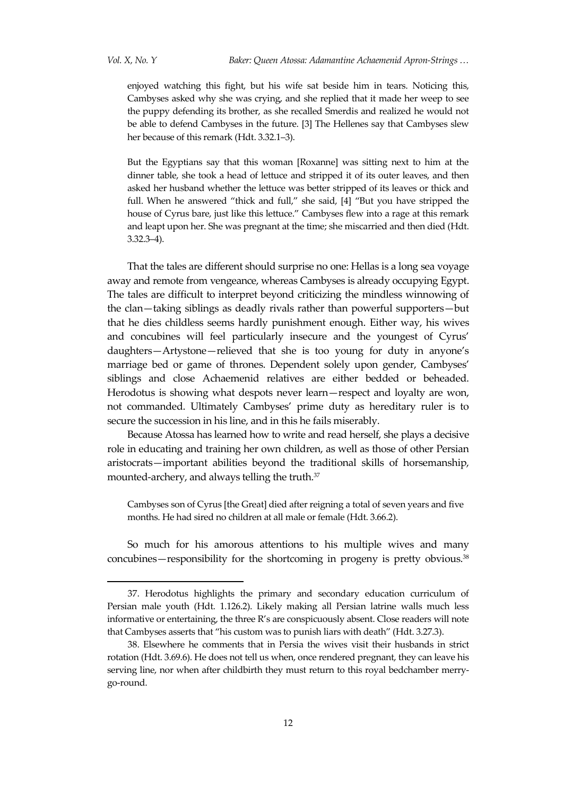enjoyed watching this fight, but his wife sat beside him in tears. Noticing this, Cambyses asked why she was crying, and she replied that it made her weep to see the puppy defending its brother, as she recalled Smerdis and realized he would not be able to defend Cambyses in the future. [3] The Hellenes say that Cambyses slew her because of this remark (Hdt. 3.32.1–3).

But the Egyptians say that this woman [Roxanne] was sitting next to him at the dinner table, she took a head of lettuce and stripped it of its outer leaves, and then asked her husband whether the lettuce was better stripped of its leaves or thick and full. When he answered "thick and full," she said, [4] "But you have stripped the house of Cyrus bare, just like this lettuce.' Cambyses flew into a rage at this remark and leapt upon her. She was pregnant at the time; she miscarried and then died (Hdt. 3.32.3–4).

That the tales are different should surprise no one: Hellas is a long sea voyage away and remote from vengeance, whereas Cambyses is already occupying Egypt. The tales are difficult to interpret beyond criticizing the mindless winnowing of the clan—taking siblings as deadly rivals rather than powerful supporters—but that he dies childless seems hardly punishment enough. Either way, his wives and concubines will feel particularly insecure and the youngest of Cyrus' daughters—Artystone—relieved that she is too young for duty in anyone's marriage bed or game of thrones. Dependent solely upon gender, Cambyses' siblings and close Achaemenid relatives are either bedded or beheaded. Herodotus is showing what despots never learn—respect and loyalty are won, not commanded. Ultimately Cambyses' prime duty as hereditary ruler is to secure the succession in his line, and in this he fails miserably.

Because Atossa has learned how to write and read herself, she plays a decisive role in educating and training her own children, as well as those of other Persian aristocrats—important abilities beyond the traditional skills of horsemanship, mounted-archery, and always telling the truth. $^{\scriptscriptstyle 37}$ 

Cambyses son of Cyrus [the Great] died after reigning a total of seven years and five months. He had sired no children at all male or female (Hdt. 3.66.2).

So much for his amorous attentions to his multiple wives and many concubines—responsibility for the shortcoming in progeny is pretty obvious.<sup>38</sup>

<sup>37.</sup> Herodotus highlights the primary and secondary education curriculum of Persian male youth (Hdt. 1.126.2). Likely making all Persian latrine walls much less informative or entertaining, the three R's are conspicuously absent. Close readers will note that Cambyses asserts that 'his custom was to punish liars with death' (Hdt. 3.27.3).

<sup>38.</sup> Elsewhere he comments that in Persia the wives visit their husbands in strict rotation (Hdt. 3.69.6). He does not tell us when, once rendered pregnant, they can leave his serving line, nor when after childbirth they must return to this royal bedchamber merrygo-round.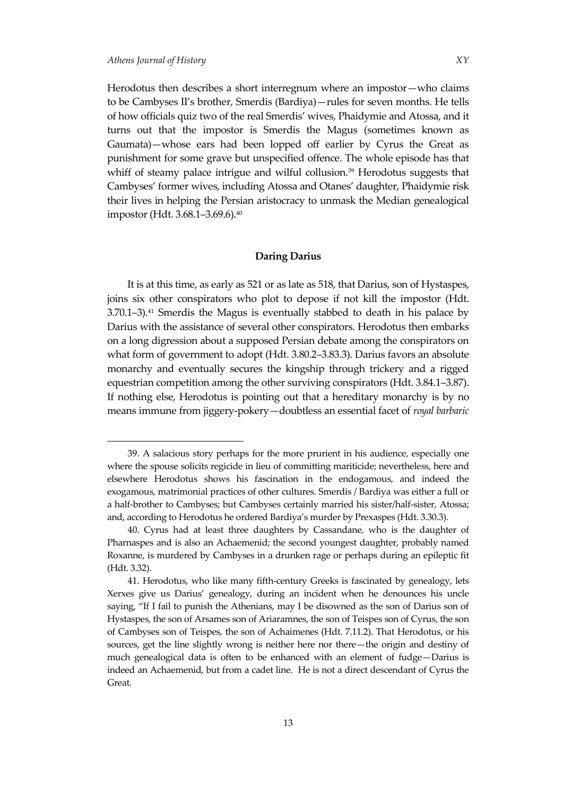Herodotus then describes a short interregnum where an impostor—who claims to be Cambyses II's brother, Smerdis (Bardiya)—rules for seven months. He tells of how officials quiz two of the real Smerdis' wives, Phaidymie and Atossa, and it turns out that the impostor is Smerdis the Magus (sometimes known as Gaumata)—whose ears had been lopped off earlier by Cyrus the Great as punishment for some grave but unspecified offence. The whole episode has that whiff of steamy palace intrigue and wilful collusion.<sup>39</sup> Herodotus suggests that Cambyses' former wives, including Atossa and Otanes' daughter, Phaidymie risk their lives in helping the Persian aristocracy to unmask the Median genealogical impostor (Hdt. 3.68.1–3.69.6).<sup>40</sup>

#### **Daring Darius**

It is at this time, as early as 521 or as late as 518, that Darius, son of Hystaspes, joins six other conspirators who plot to depose if not kill the impostor (Hdt.  $3.70.1-3$ ).<sup>41</sup> Smerdis the Magus is eventually stabbed to death in his palace by Darius with the assistance of several other conspirators. Herodotus then embarks on a long digression about a supposed Persian debate among the conspirators on what form of government to adopt (Hdt. 3.80.2–3.83.3). Darius favors an absolute monarchy and eventually secures the kingship through trickery and a rigged equestrian competition among the other surviving conspirators (Hdt. 3.84.1–3.87). If nothing else, Herodotus is pointing out that a hereditary monarchy is by no means immune from jiggery-pokery—doubtless an essential facet of *royal barbaric* 

<sup>39.</sup> A salacious story perhaps for the more prurient in his audience, especially one where the spouse solicits regicide in lieu of committing mariticide; nevertheless, here and elsewhere Herodotus shows his fascination in the endogamous, and indeed the exogamous, matrimonial practices of other cultures. Smerdis / Bardiya was either a full or a half-brother to Cambyses; but Cambyses certainly married his sister/half-sister, Atossa; and, according to Herodotus he ordered Bardiya's murder by Prexaspes (Hdt. 3.30.3).

<sup>40.</sup> Cyrus had at least three daughters by Cassandane, who is the daughter of Pharnaspes and is also an Achaemenid; the second youngest daughter, probably named Roxanne, is murdered by Cambyses in a drunken rage or perhaps during an epileptic fit (Hdt. 3.32).

<sup>41.</sup> Herodotus, who like many fifth-century Greeks is fascinated by genealogy, lets Xerxes give us Darius' genealogy, during an incident when he denounces his uncle saying, 'If I fail to punish the Athenians, may I be disowned as the son of Darius son of Hystaspes, the son of Arsames son of Ariaramnes, the son of Teispes son of Cyrus, the son of Cambyses son of Teispes, the son of Achaimenes (Hdt. 7.11.2). That Herodotus, or his sources, get the line slightly wrong is neither here nor there—the origin and destiny of much genealogical data is often to be enhanced with an element of fudge—Darius is indeed an Achaemenid, but from a cadet line. He is not a direct descendant of Cyrus the Great.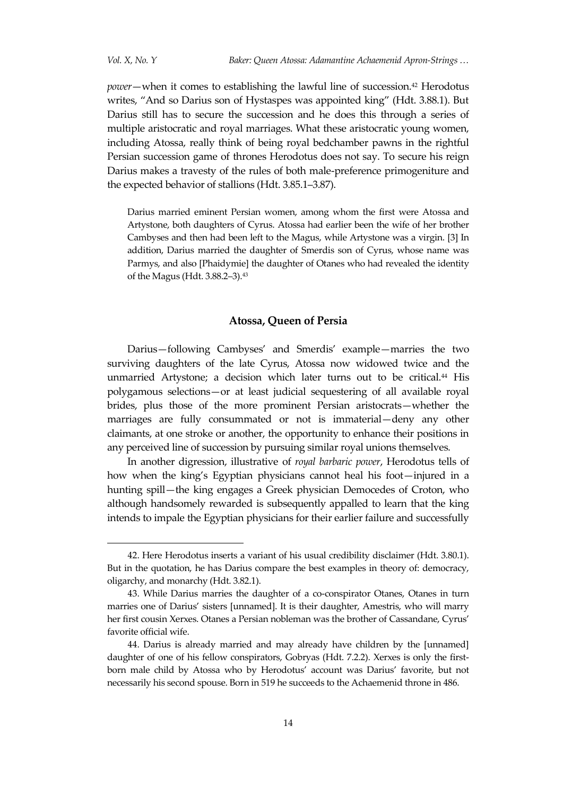*Vol. X, No. Y Baker: Queen Atossa: Adamantine Achaemenid Apron-Strings …*

*power*—when it comes to establishing the lawful line of succession.<sup>42</sup> Herodotus writes, 'And so Darius son of Hystaspes was appointed king' (Hdt. 3.88.1). But Darius still has to secure the succession and he does this through a series of multiple aristocratic and royal marriages. What these aristocratic young women, including Atossa, really think of being royal bedchamber pawns in the rightful Persian succession game of thrones Herodotus does not say. To secure his reign Darius makes a travesty of the rules of both male-preference primogeniture and the expected behavior of stallions (Hdt. 3.85.1–3.87).

Darius married eminent Persian women, among whom the first were Atossa and Artystone, both daughters of Cyrus. Atossa had earlier been the wife of her brother Cambyses and then had been left to the Magus, while Artystone was a virgin. [3] In addition, Darius married the daughter of Smerdis son of Cyrus, whose name was Parmys, and also [Phaidymie] the daughter of Otanes who had revealed the identity of the Magus (Hdt. 3.88.2–3).<sup>43</sup>

#### **Atossa, Queen of Persia**

Darius—following Cambyses' and Smerdis' example—marries the two surviving daughters of the late Cyrus, Atossa now widowed twice and the unmarried Artystone; a decision which later turns out to be critical.<sup>44</sup> His polygamous selections—or at least judicial sequestering of all available royal brides, plus those of the more prominent Persian aristocrats—whether the marriages are fully consummated or not is immaterial—deny any other claimants, at one stroke or another, the opportunity to enhance their positions in any perceived line of succession by pursuing similar royal unions themselves.

In another digression, illustrative of *royal barbaric power*, Herodotus tells of how when the king's Egyptian physicians cannot heal his foot—injured in a hunting spill—the king engages a Greek physician Democedes of Croton, who although handsomely rewarded is subsequently appalled to learn that the king intends to impale the Egyptian physicians for their earlier failure and successfully

<sup>42.</sup> Here Herodotus inserts a variant of his usual credibility disclaimer (Hdt. 3.80.1). But in the quotation, he has Darius compare the best examples in theory of: democracy, oligarchy, and monarchy (Hdt. 3.82.1).

<sup>43.</sup> While Darius marries the daughter of a co-conspirator Otanes, Otanes in turn marries one of Darius' sisters [unnamed]. It is their daughter, Amestris, who will marry her first cousin Xerxes. Otanes a Persian nobleman was the brother of Cassandane, Cyrus' favorite official wife.

<sup>44.</sup> Darius is already married and may already have children by the [unnamed] daughter of one of his fellow conspirators, Gobryas (Hdt. 7.2.2). Xerxes is only the firstborn male child by Atossa who by Herodotus' account was Darius' favorite, but not necessarily his second spouse. Born in 519 he succeeds to the Achaemenid throne in 486.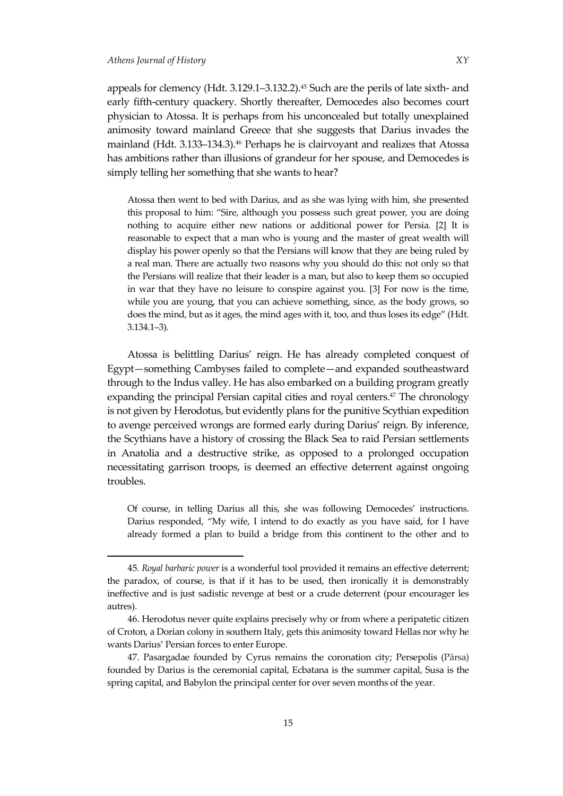appeals for clemency (Hdt. 3.129.1–3.132.2).<sup>45</sup> Such are the perils of late sixth- and early fifth-century quackery. Shortly thereafter, Democedes also becomes court physician to Atossa. It is perhaps from his unconcealed but totally unexplained animosity toward mainland Greece that she suggests that Darius invades the mainland (Hdt. 3.133–134.3).<sup>46</sup> Perhaps he is clairvoyant and realizes that Atossa has ambitions rather than illusions of grandeur for her spouse, and Democedes is simply telling her something that she wants to hear?

Atossa then went to bed with Darius, and as she was lying with him, she presented this proposal to him: 'Sire, although you possess such great power, you are doing nothing to acquire either new nations or additional power for Persia. [2] It is reasonable to expect that a man who is young and the master of great wealth will display his power openly so that the Persians will know that they are being ruled by a real man. There are actually two reasons why you should do this: not only so that the Persians will realize that their leader is a man, but also to keep them so occupied in war that they have no leisure to conspire against you. [3] For now is the time, while you are young, that you can achieve something, since, as the body grows, so does the mind, but as it ages, the mind ages with it, too, and thus loses its edge' (Hdt. 3.134.1–3).

Atossa is belittling Darius' reign. He has already completed conquest of Egypt—something Cambyses failed to complete—and expanded southeastward through to the Indus valley. He has also embarked on a building program greatly expanding the principal Persian capital cities and royal centers. <sup>47</sup> The chronology is not given by Herodotus, but evidently plans for the punitive Scythian expedition to avenge perceived wrongs are formed early during Darius' reign. By inference, the Scythians have a history of crossing the Black Sea to raid Persian settlements in Anatolia and a destructive strike, as opposed to a prolonged occupation necessitating garrison troops, is deemed an effective deterrent against ongoing troubles.

Of course, in telling Darius all this, she was following Democedes' instructions. Darius responded, 'My wife, I intend to do exactly as you have said, for I have already formed a plan to build a bridge from this continent to the other and to

<sup>45</sup>*. Royal barbaric power* is a wonderful tool provided it remains an effective deterrent; the paradox, of course, is that if it has to be used, then ironically it is demonstrably ineffective and is just sadistic revenge at best or a crude deterrent (pour encourager les autres).

<sup>46.</sup> Herodotus never quite explains precisely why or from where a peripatetic citizen of Croton, a Dorian colony in southern Italy, gets this animosity toward Hellas nor why he wants Darius' Persian forces to enter Europe.

<sup>47.</sup> Pasargadae founded by Cyrus remains the coronation city; Persepolis (Pārsa) founded by Darius is the ceremonial capital, Ecbatana is the summer capital, Susa is the spring capital, and Babylon the principal center for over seven months of the year.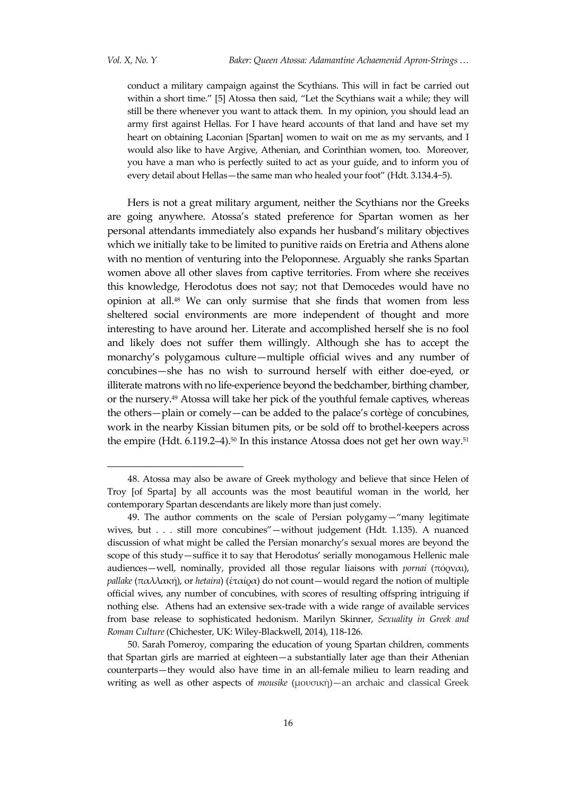$\overline{a}$ 

conduct a military campaign against the Scythians. This will in fact be carried out within a short time." [5] Atossa then said, "Let the Scythians wait a while; they will still be there whenever you want to attack them. In my opinion, you should lead an army first against Hellas. For I have heard accounts of that land and have set my heart on obtaining Laconian [Spartan] women to wait on me as my servants, and I would also like to have Argive, Athenian, and Corinthian women, too. Moreover, you have a man who is perfectly suited to act as your guide, and to inform you of every detail about Hellas—the same man who healed your foot' (Hdt. 3.134.4−5).

Hers is not a great military argument, neither the Scythians nor the Greeks are going anywhere. Atossa's stated preference for Spartan women as her personal attendants immediately also expands her husband's military objectives which we initially take to be limited to punitive raids on Eretria and Athens alone with no mention of venturing into the Peloponnese. Arguably she ranks Spartan women above all other slaves from captive territories. From where she receives this knowledge, Herodotus does not say; not that Democedes would have no opinion at all. <sup>48</sup> We can only surmise that she finds that women from less sheltered social environments are more independent of thought and more interesting to have around her. Literate and accomplished herself she is no fool and likely does not suffer them willingly. Although she has to accept the monarchy's polygamous culture—multiple official wives and any number of concubines—she has no wish to surround herself with either doe-eyed, or illiterate matrons with no life-experience beyond the bedchamber, birthing chamber, or the nursery.<sup>49</sup> Atossa will take her pick of the youthful female captives, whereas the others—plain or comely—can be added to the palace's cortège of concubines, work in the nearby Kissian bitumen pits, or be sold off to brothel-keepers across the empire (Hdt.  $6.119.2-4$ ).<sup>50</sup> In this instance Atossa does not get her own way.<sup>51</sup>

<sup>48.</sup> Atossa may also be aware of Greek mythology and believe that since Helen of Troy [of Sparta] by all accounts was the most beautiful woman in the world, her contemporary Spartan descendants are likely more than just comely.

<sup>49.</sup> The author comments on the scale of Persian polygamy—'many legitimate wives, but . . . still more concubines"—without judgement (Hdt. 1.135). A nuanced discussion of what might be called the Persian monarchy's sexual mores are beyond the scope of this study—suffice it to say that Herodotus' serially monogamous Hellenic male audiences—well, nominally, provided all those regular liaisons with *pornai* (πόρναι), *pallake* (παλλακή), or *hetaíra*) (ἑταίρα) do not count—would regard the notion of multiple official wives, any number of concubines, with scores of resulting offspring intriguing if nothing else. Athens had an extensive sex-trade with a wide range of available services from base release to sophisticated hedonism. Marilyn Skinner, *Sexuality in Greek and Roman Culture* (Chichester, UK: Wiley-Blackwell, 2014), 118-126.

<sup>50.</sup> Sarah Pomeroy, comparing the education of young Spartan children, comments that Spartan girls are married at eighteen—a substantially later age than their Athenian counterparts—they would also have time in an all-female milieu to learn reading and writing as well as other aspects of *mousike* (μουσικὴ)—an archaic and classical Greek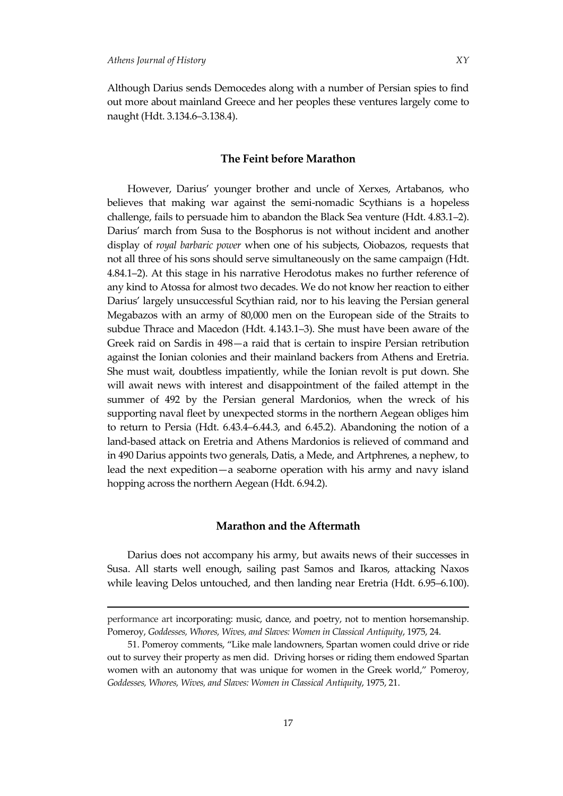1

Although Darius sends Democedes along with a number of Persian spies to find out more about mainland Greece and her peoples these ventures largely come to naught (Hdt. 3.134.6–3.138.4).

#### **The Feint before Marathon**

However, Darius' younger brother and uncle of Xerxes, Artabanos, who believes that making war against the semi-nomadic Scythians is a hopeless challenge, fails to persuade him to abandon the Black Sea venture (Hdt. 4.83.1–2). Darius' march from Susa to the Bosphorus is not without incident and another display of *royal barbaric power* when one of his subjects, Oiobazos, requests that not all three of his sons should serve simultaneously on the same campaign (Hdt. 4.84.1–2). At this stage in his narrative Herodotus makes no further reference of any kind to Atossa for almost two decades. We do not know her reaction to either Darius' largely unsuccessful Scythian raid, nor to his leaving the Persian general Megabazos with an army of 80,000 men on the European side of the Straits to subdue Thrace and Macedon (Hdt. 4.143.1–3). She must have been aware of the Greek raid on Sardis in 498—a raid that is certain to inspire Persian retribution against the Ionian colonies and their mainland backers from Athens and Eretria. She must wait, doubtless impatiently, while the Ionian revolt is put down. She will await news with interest and disappointment of the failed attempt in the summer of 492 by the Persian general Mardonios, when the wreck of his supporting naval fleet by unexpected storms in the northern Aegean obliges him to return to Persia (Hdt. 6.43.4–6.44.3, and 6.45.2). Abandoning the notion of a land-based attack on Eretria and Athens Mardonios is relieved of command and in 490 Darius appoints two generals, Datis, a Mede, and Artphrenes, a nephew, to lead the next expedition—a seaborne operation with his army and navy island hopping across the northern Aegean (Hdt. 6.94.2).

# **Marathon and the Aftermath**

Darius does not accompany his army, but awaits news of their successes in Susa. All starts well enough, sailing past Samos and Ikaros, attacking Naxos while leaving Delos untouched, and then landing near Eretria (Hdt. 6.95–6.100).

performance art incorporating: music, dance, and poetry, not to mention horsemanship. Pomeroy, *Goddesses, Whores, Wives, and Slaves: Women in Classical Antiquity*, 1975, 24.

<sup>51.</sup> Pomeroy comments, 'Like male landowners, Spartan women could drive or ride out to survey their property as men did. Driving horses or riding them endowed Spartan women with an autonomy that was unique for women in the Greek world," Pomeroy, *Goddesses, Whores, Wives, and Slaves: Women in Classical Antiquity*, 1975, 21.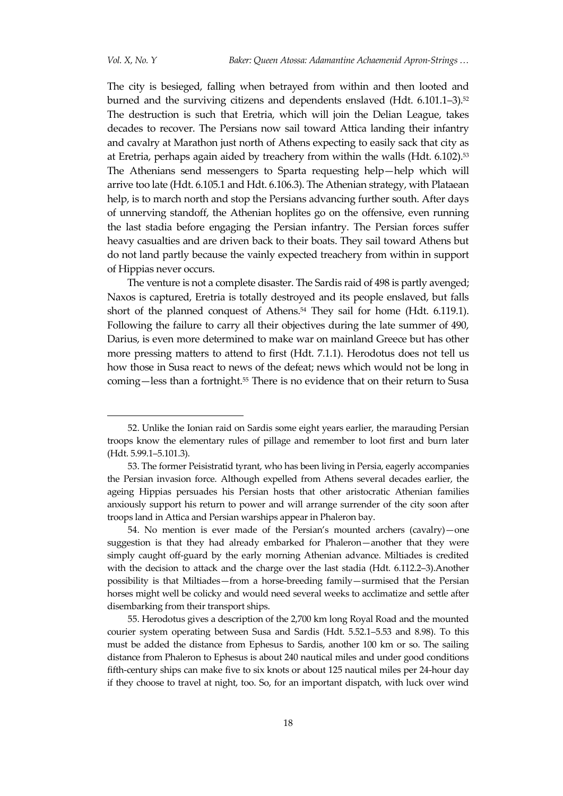The city is besieged, falling when betrayed from within and then looted and burned and the surviving citizens and dependents enslaved (Hdt. 6.101.1–3).<sup>52</sup> The destruction is such that Eretria, which will join the Delian League, takes decades to recover. The Persians now sail toward Attica landing their infantry and cavalry at Marathon just north of Athens expecting to easily sack that city as at Eretria, perhaps again aided by treachery from within the walls (Hdt. 6.102).<sup>53</sup> The Athenians send messengers to Sparta requesting help—help which will arrive too late (Hdt. 6.105.1 and Hdt. 6.106.3). The Athenian strategy, with Plataean help, is to march north and stop the Persians advancing further south. After days of unnerving standoff, the Athenian hoplites go on the offensive, even running the last stadia before engaging the Persian infantry. The Persian forces suffer heavy casualties and are driven back to their boats. They sail toward Athens but do not land partly because the vainly expected treachery from within in support of Hippias never occurs.

The venture is not a complete disaster. The Sardis raid of 498 is partly avenged; Naxos is captured, Eretria is totally destroyed and its people enslaved, but falls short of the planned conquest of Athens.<sup>54</sup> They sail for home (Hdt. 6.119.1). Following the failure to carry all their objectives during the late summer of 490, Darius, is even more determined to make war on mainland Greece but has other more pressing matters to attend to first (Hdt. 7.1.1). Herodotus does not tell us how those in Susa react to news of the defeat; news which would not be long in coming—less than a fortnight.<sup>55</sup> There is no evidence that on their return to Susa

<sup>52.</sup> Unlike the Ionian raid on Sardis some eight years earlier, the marauding Persian troops know the elementary rules of pillage and remember to loot first and burn later (Hdt. 5.99.1–5.101.3).

<sup>53.</sup> The former Peisistratid tyrant, who has been living in Persia, eagerly accompanies the Persian invasion force. Although expelled from Athens several decades earlier, the ageing Hippias persuades his Persian hosts that other aristocratic Athenian families anxiously support his return to power and will arrange surrender of the city soon after troops land in Attica and Persian warships appear in Phaleron bay.

<sup>54.</sup> No mention is ever made of the Persian's mounted archers (cavalry)—one suggestion is that they had already embarked for Phaleron—another that they were simply caught off-guard by the early morning Athenian advance. Miltiades is credited with the decision to attack and the charge over the last stadia (Hdt. 6.112.2–3).Another possibility is that Miltiades—from a horse-breeding family—surmised that the Persian horses might well be colicky and would need several weeks to acclimatize and settle after disembarking from their transport ships.

<sup>55.</sup> Herodotus gives a description of the 2,700 km long Royal Road and the mounted courier system operating between Susa and Sardis (Hdt. 5.52.1–5.53 and 8.98). To this must be added the distance from Ephesus to Sardis, another 100 km or so. The sailing distance from Phaleron to Ephesus is about 240 nautical miles and under good conditions fifth-century ships can make five to six knots or about 125 nautical miles per 24-hour day if they choose to travel at night, too. So, for an important dispatch, with luck over wind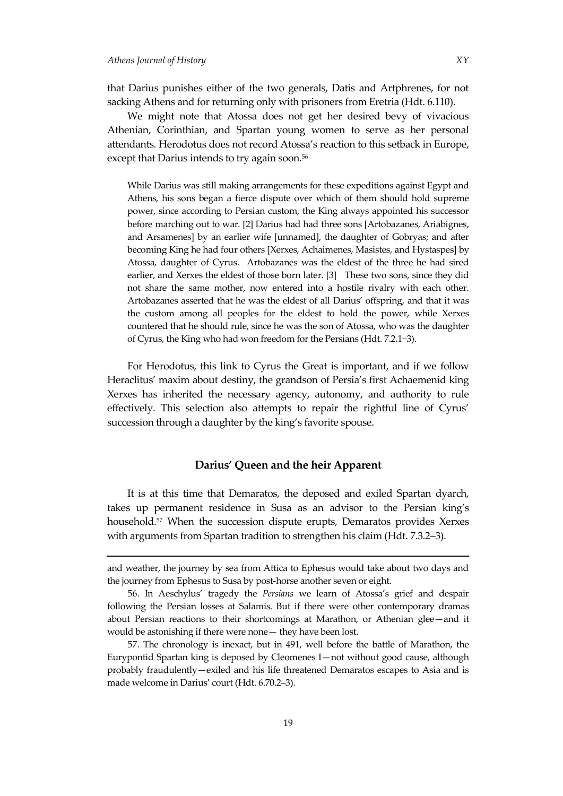1

that Darius punishes either of the two generals, Datis and Artphrenes, for not sacking Athens and for returning only with prisoners from Eretria (Hdt. 6.110).

We might note that Atossa does not get her desired bevy of vivacious Athenian, Corinthian, and Spartan young women to serve as her personal attendants. Herodotus does not record Atossa's reaction to this setback in Europe, except that Darius intends to try again soon.<sup>56</sup>

While Darius was still making arrangements for these expeditions against Egypt and Athens, his sons began a fierce dispute over which of them should hold supreme power, since according to Persian custom, the King always appointed his successor before marching out to war. [2] Darius had had three sons [Artobazanes, Ariabignes, and [Arsamenes\]](https://en.wikipedia.org/w/index.php?title=Arsamenes&action=edit&redlink=1) by an earlier wife [unnamed], the daughter of Gobryas; and after becoming King he had four others [\[Xerxes,](https://en.wikipedia.org/wiki/Xerxes_I_of_Persia) [Achaimenes,](https://en.wikipedia.org/w/index.php?title=Achaimenes&action=edit&redlink=1) [Masistes,](https://en.wikipedia.org/wiki/Masistes) and [Hystaspes\]](https://en.wikipedia.org/w/index.php?title=Hystaspes_(son_of_Darius_I)&action=edit&redlink=1) by Atossa, daughter of Cyrus. Artobazanes was the eldest of the three he had sired earlier, and Xerxes the eldest of those born later. [3] These two sons, since they did not share the same mother, now entered into a hostile rivalry with each other. Artobazanes asserted that he was the eldest of all Darius' offspring, and that it was the custom among all peoples for the eldest to hold the power, while Xerxes countered that he should rule, since he was the son of Atossa, who was the daughter of Cyrus, the King who had won freedom for the Persians (Hdt. 7.2.1−3).

For Herodotus, this link to Cyrus the Great is important, and if we follow Heraclitus' maxim about destiny, the grandson of Persia's first Achaemenid king Xerxes has inherited the necessary agency, autonomy, and authority to rule effectively. This selection also attempts to repair the rightful line of Cyrus' succession through a daughter by the king's favorite spouse.

# **Darius' Queen and the heir Apparent**

It is at this time that Demaratos, the deposed and exiled Spartan dyarch, takes up permanent residence in Susa as an advisor to the Persian king's household.<sup>57</sup> When the succession dispute erupts, Demaratos provides Xerxes with arguments from Spartan tradition to strengthen his claim (Hdt. 7.3.2–3).

and weather, the journey by sea from Attica to Ephesus would take about two days and the journey from Ephesus to Susa by post-horse another seven or eight.

<sup>56.</sup> In Aeschylus' tragedy the *Persians* we learn of Atossa's grief and despair following the Persian losses at Salamis. But if there were other contemporary dramas about Persian reactions to their shortcomings at Marathon, or Athenian glee—and it would be astonishing if there were none— they have been lost.

<sup>57.</sup> The chronology is inexact, but in 491, well before the battle of Marathon, the Eurypontid Spartan king is deposed by Cleomenes I—not without good cause, although probably fraudulently—exiled and his life threatened Demaratos escapes to Asia and is made welcome in Darius' court (Hdt. 6.70.2–3).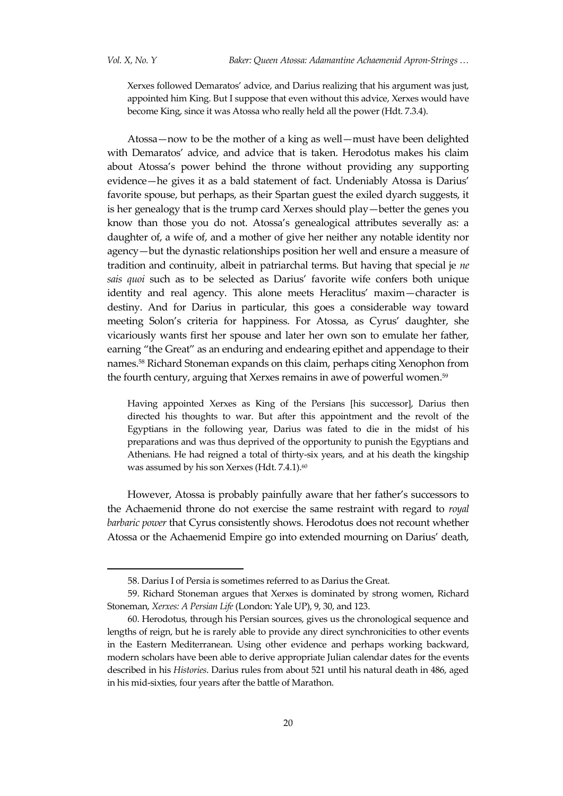Xerxes followed Demaratos' advice, and Darius realizing that his argument was just, appointed him King. But I suppose that even without this advice, Xerxes would have become King, since it was Atossa who really held all the power (Hdt. 7.3.4).

Atossa—now to be the mother of a king as well—must have been delighted with Demaratos' advice, and advice that is taken. Herodotus makes his claim about Atossa's power behind the throne without providing any supporting evidence—he gives it as a bald statement of fact. Undeniably Atossa is Darius' favorite spouse, but perhaps, as their Spartan guest the exiled dyarch suggests, it is her genealogy that is the trump card Xerxes should play—better the genes you know than those you do not. Atossa's genealogical attributes severally as: a daughter of, a wife of, and a mother of give her neither any notable identity nor agency—but the dynastic relationships position her well and ensure a measure of tradition and continuity, albeit in patriarchal terms. But having that special je *ne sais quoi* such as to be selected as Darius' favorite wife confers both unique identity and real agency. This alone meets Heraclitus' maxim—character is destiny. And for Darius in particular, this goes a considerable way toward meeting Solon's criteria for happiness. For Atossa, as Cyrus' daughter, she vicariously wants first her spouse and later her own son to emulate her father, earning 'the Great' as an enduring and endearing epithet and appendage to their names.<sup>58</sup> Richard Stoneman expands on this claim, perhaps citing Xenophon from the fourth century, arguing that Xerxes remains in awe of powerful women. 59

Having appointed Xerxes as King of the Persians [his successor], Darius then directed his thoughts to war. But after this appointment and the revolt of the Egyptians in the following year, Darius was fated to die in the midst of his preparations and was thus deprived of the opportunity to punish the Egyptians and Athenians. He had reigned a total of thirty-six years, and at his death the kingship was assumed by his son Xerxes (Hdt. 7.4.1).<sup>60</sup>

However, Atossa is probably painfully aware that her father's successors to the Achaemenid throne do not exercise the same restraint with regard to *royal barbaric power* that Cyrus consistently shows. Herodotus does not recount whether Atossa or the Achaemenid Empire go into extended mourning on Darius' death,

<sup>58.</sup> Darius I of Persia is sometimes referred to as Darius the Great.

<sup>59.</sup> Richard Stoneman argues that Xerxes is dominated by strong women, Richard Stoneman, *Xerxes: A Persian Life* (London: Yale UP), 9, 30, and 123.

<sup>60.</sup> Herodotus, through his Persian sources, gives us the chronological sequence and lengths of reign, but he is rarely able to provide any direct synchronicities to other events in the Eastern Mediterranean. Using other evidence and perhaps working backward, modern scholars have been able to derive appropriate Julian calendar dates for the events described in his *Histories*. Darius rules from about 521 until his natural death in 486, aged in his mid-sixties, four years after the battle of Marathon.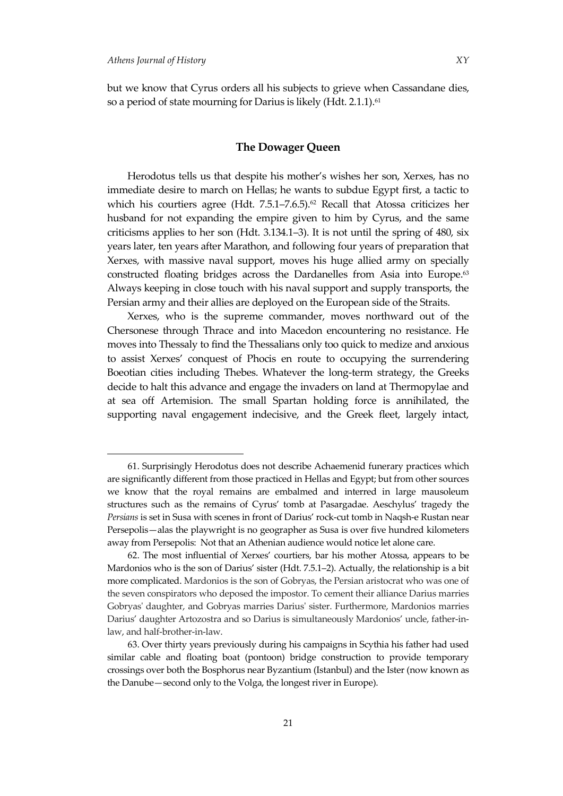but we know that Cyrus orders all his subjects to grieve when Cassandane dies, so a period of state mourning for Darius is likely (Hdt. 2.1.1). 61

# **The Dowager Queen**

Herodotus tells us that despite his mother's wishes her son, Xerxes, has no immediate desire to march on Hellas; he wants to subdue Egypt first, a tactic to which his courtiers agree (Hdt.  $7.5.1 - 7.6.5$ ).<sup>62</sup> Recall that Atossa criticizes her husband for not expanding the empire given to him by Cyrus, and the same criticisms applies to her son (Hdt. 3.134.1–3). It is not until the spring of 480, six years later, ten years after Marathon, and following four years of preparation that Xerxes, with massive naval support, moves his huge allied army on specially constructed floating bridges across the Dardanelles from Asia into Europe.<sup>63</sup> Always keeping in close touch with his naval support and supply transports, the Persian army and their allies are deployed on the European side of the Straits.

Xerxes, who is the supreme commander, moves northward out of the Chersonese through Thrace and into Macedon encountering no resistance. He moves into Thessaly to find the Thessalians only too quick to medize and anxious to assist Xerxes' conquest of Phocis en route to occupying the surrendering Boeotian cities including Thebes. Whatever the long-term strategy, the Greeks decide to halt this advance and engage the invaders on land at Thermopylae and at sea off Artemision. The small Spartan holding force is annihilated, the supporting naval engagement indecisive, and the Greek fleet, largely intact,

<sup>61.</sup> Surprisingly Herodotus does not describe Achaemenid funerary practices which are significantly different from those practiced in Hellas and Egypt; but from other sources we know that the royal remains are embalmed and interred in large mausoleum structures such as the remains of Cyrus' tomb at Pasargadae. Aeschylus' tragedy the *Persians* is set in Susa with scenes in front of Darius' rock-cut tomb in Naqsh-e Rustan near Persepolis—alas the playwright is no geographer as Susa is over five hundred kilometers away from Persepolis: Not that an Athenian audience would notice let alone care.

<sup>62.</sup> The most influential of Xerxes' courtiers, bar his mother Atossa, appears to be Mardonios who is the son of Darius' sister (Hdt. 7.5.1–2). Actually, the relationship is a bit more complicated. Mardonios is the son of Gobryas, the Persian aristocrat who was one of the seven conspirators who deposed the impostor. To cement their alliance Darius marries Gobryas' daughter, and Gobryas marries Darius' sister. Furthermore, Mardonios marries Darius' daughter Artozostra and so Darius is simultaneously Mardonios' uncle, father-inlaw, and half-brother-in-law.

<sup>63.</sup> Over thirty years previously during his campaigns in Scythia his father had used similar cable and floating boat (pontoon) bridge construction to provide temporary crossings over both the Bosphorus near Byzantium (Istanbul) and the Ister (now known as the Danube—second only to the Volga, the longest river in Europe).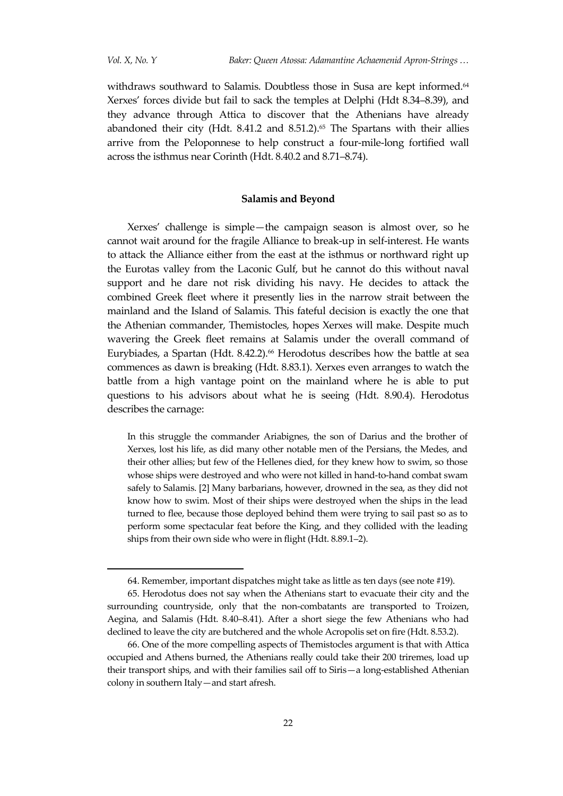withdraws southward to Salamis. Doubtless those in Susa are kept informed.<sup>64</sup> Xerxes' forces divide but fail to sack the temples at Delphi (Hdt 8.34–8.39), and they advance through Attica to discover that the Athenians have already abandoned their city (Hdt. 8.41.2 and 8.51.2). $65$  The Spartans with their allies arrive from the Peloponnese to help construct a four-mile-long fortified wall across the isthmus near Corinth (Hdt. 8.40.2 and 8.71–8.74).

# **Salamis and Beyond**

Xerxes' challenge is simple—the campaign season is almost over, so he cannot wait around for the fragile Alliance to break-up in self-interest. He wants to attack the Alliance either from the east at the isthmus or northward right up the Eurotas valley from the Laconic Gulf, but he cannot do this without naval support and he dare not risk dividing his navy. He decides to attack the combined Greek fleet where it presently lies in the narrow strait between the mainland and the Island of Salamis. This fateful decision is exactly the one that the Athenian commander, Themistocles, hopes Xerxes will make. Despite much wavering the Greek fleet remains at Salamis under the overall command of Eurybiades, a Spartan (Hdt. 8.42.2).<sup>66</sup> Herodotus describes how the battle at sea commences as dawn is breaking (Hdt. 8.83.1). Xerxes even arranges to watch the battle from a high vantage point on the mainland where he is able to put questions to his advisors about what he is seeing (Hdt. 8.90.4). Herodotus describes the carnage:

In this struggle the commander Ariabignes, the son of Darius and the brother of Xerxes, lost his life, as did many other notable men of the Persians, the Medes, and their other allies; but few of the Hellenes died, for they knew how to swim, so those whose ships were destroyed and who were not killed in hand-to-hand combat swam safely to Salamis. [2] Many barbarians, however, drowned in the sea, as they did not know how to swim. Most of their ships were destroyed when the ships in the lead turned to flee, because those deployed behind them were trying to sail past so as to perform some spectacular feat before the King, and they collided with the leading ships from their own side who were in flight (Hdt. 8.89.1–2).

<sup>64.</sup> Remember, important dispatches might take as little as ten days (see note #19).

<sup>65.</sup> Herodotus does not say when the Athenians start to evacuate their city and the surrounding countryside, only that the non-combatants are transported to Troizen, Aegina, and Salamis (Hdt. 8.40–8.41). After a short siege the few Athenians who had declined to leave the city are butchered and the whole Acropolis set on fire (Hdt. 8.53.2).

<sup>66.</sup> One of the more compelling aspects of Themistocles argument is that with Attica occupied and Athens burned, the Athenians really could take their 200 triremes, load up their transport ships, and with their families sail off to Siris—a long-established Athenian colony in southern Italy—and start afresh.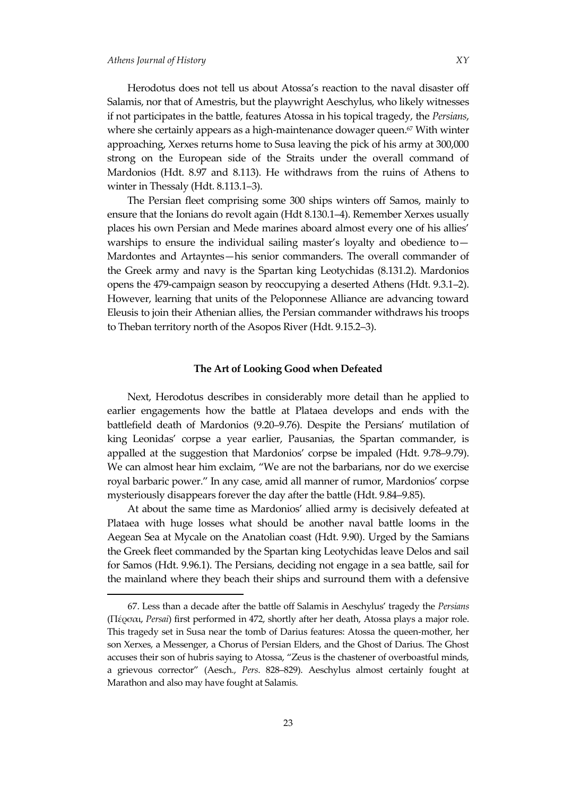Herodotus does not tell us about Atossa's reaction to the naval disaster off Salamis, nor that of Amestris, but the playwright Aeschylus, who likely witnesses if not participates in the battle, features Atossa in his topical tragedy, the *Persians*, where she certainly appears as a high-maintenance dowager queen.<sup>67</sup> With winter approaching, Xerxes returns home to Susa leaving the pick of his army at 300,000 strong on the European side of the Straits under the overall command of Mardonios (Hdt. 8.97 and 8.113). He withdraws from the ruins of Athens to winter in Thessaly (Hdt. 8.113.1–3).

The Persian fleet comprising some 300 ships winters off Samos, mainly to ensure that the Ionians do revolt again (Hdt 8.130.1–4). Remember Xerxes usually places his own Persian and Mede marines aboard almost every one of his allies' warships to ensure the individual sailing master's loyalty and obedience to— Mardontes and Artayntes—his senior commanders. The overall commander of the Greek army and navy is the Spartan king Leotychidas (8.131.2). Mardonios opens the 479-campaign season by reoccupying a deserted Athens (Hdt. 9.3.1–2). However, learning that units of the Peloponnese Alliance are advancing toward Eleusis to join their Athenian allies, the Persian commander withdraws his troops to Theban territory north of the Asopos River (Hdt. 9.15.2–3).

# **The Art of Looking Good when Defeated**

Next, Herodotus describes in considerably more detail than he applied to earlier engagements how the battle at Plataea develops and ends with the battlefield death of Mardonios (9.20–9.76). Despite the Persians' mutilation of king Leonidas' corpse a year earlier, Pausanias, the Spartan commander, is appalled at the suggestion that Mardonios' corpse be impaled (Hdt. 9.78–9.79). We can almost hear him exclaim, 'We are not the barbarians, nor do we exercise royal barbaric power.' In any case, amid all manner of rumor, Mardonios' corpse mysteriously disappears forever the day after the battle (Hdt. 9.84–9.85).

At about the same time as Mardonios' allied army is decisively defeated at Plataea with huge losses what should be another naval battle looms in the Aegean Sea at Mycale on the Anatolian coast (Hdt. 9.90). Urged by the Samians the Greek fleet commanded by the Spartan king Leotychidas leave Delos and sail for Samos (Hdt. 9.96.1). The Persians, deciding not engage in a sea battle, sail for the mainland where they beach their ships and surround them with a defensive

<sup>67.</sup> Less than a decade after the battle off Salamis in Aeschylus' tragedy the *Persians*  (Πέρσαι, *Persai*) first performed in 472, shortly after her death, Atossa plays a major role. This tragedy set in Susa near the tomb of Darius features: Atossa the queen-mother, her son Xerxes, a Messenger, a Chorus of Persian Elders, and the Ghost of Darius. The Ghost accuses their son of hubris saying to Atossa, 'Zeus is the chastener of overboastful minds, a grievous corrector' (Aesch., *Pers*. 828–829). Aeschylus almost certainly fought at Marathon and also may have fought at Salamis.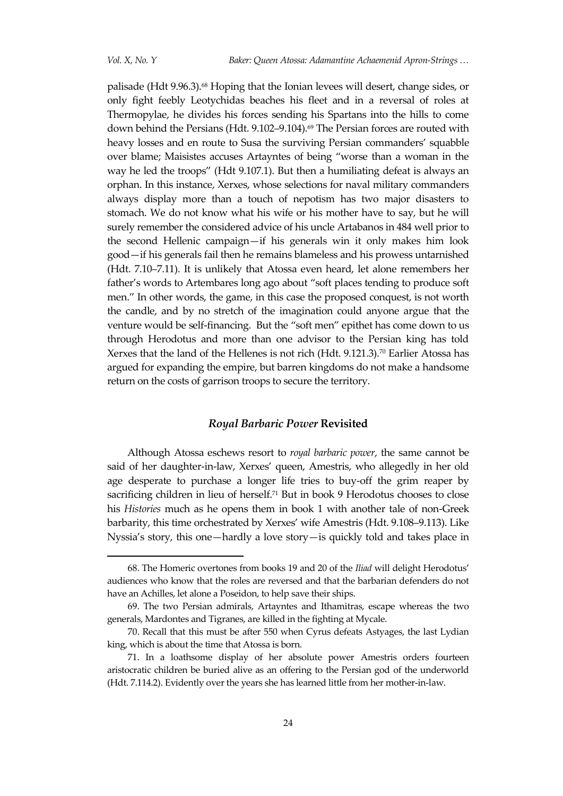palisade (Hdt 9.96.3).<sup>68</sup> Hoping that the Ionian levees will desert, change sides, or only fight feebly Leotychidas beaches his fleet and in a reversal of roles at Thermopylae, he divides his forces sending his Spartans into the hills to come down behind the Persians (Hdt. 9.102-9.104).<sup>69</sup> The Persian forces are routed with heavy losses and en route to Susa the surviving Persian commanders' squabble over blame; Maisistes accuses Artayntes of being 'worse than a woman in the way he led the troops' (Hdt 9.107.1). But then a humiliating defeat is always an orphan. In this instance, Xerxes, whose selections for naval military commanders always display more than a touch of nepotism has two major disasters to stomach. We do not know what his wife or his mother have to say, but he will surely remember the considered advice of his uncle Artabanos in 484 well prior to the second Hellenic campaign—if his generals win it only makes him look good—if his generals fail then he remains blameless and his prowess untarnished (Hdt. 7.10–7.11). It is unlikely that Atossa even heard, let alone remembers her father's words to Artembares long ago about 'soft places tending to produce soft men.' In other words, the game, in this case the proposed conquest, is not worth the candle, and by no stretch of the imagination could anyone argue that the venture would be self-financing. But the 'soft men' epithet has come down to us through Herodotus and more than one advisor to the Persian king has told Xerxes that the land of the Hellenes is not rich (Hdt. 9.121.3).<sup>70</sup> Earlier Atossa has argued for expanding the empire, but barren kingdoms do not make a handsome return on the costs of garrison troops to secure the territory.

## *Royal Barbaric Power* **Revisited**

Although Atossa eschews resort to *royal barbaric power*, the same cannot be said of her daughter-in-law, Xerxes' queen, Amestris, who allegedly in her old age desperate to purchase a longer life tries to buy-off the grim reaper by sacrificing children in lieu of herself.<sup>71</sup> But in book 9 Herodotus chooses to close his *Histories* much as he opens them in book 1 with another tale of non-Greek barbarity, this time orchestrated by Xerxes' wife Amestris (Hdt. 9.108–9.113). Like Nyssia's story, this one—hardly a love story—is quickly told and takes place in

<sup>68.</sup> The Homeric overtones from books 19 and 20 of the *Iliad* will delight Herodotus' audiences who know that the roles are reversed and that the barbarian defenders do not have an Achilles, let alone a Poseidon, to help save their ships.

<sup>69.</sup> The two Persian admirals, Artayntes and Ithamitras, escape whereas the two generals, Mardontes and Tigranes, are killed in the fighting at Mycale.

<sup>70.</sup> Recall that this must be after 550 when Cyrus defeats Astyages, the last Lydian king, which is about the time that Atossa is born.

<sup>71.</sup> In a loathsome display of her absolute power Amestris orders fourteen aristocratic children be buried alive as an offering to the Persian god of the underworld (Hdt. 7.114.2). Evidently over the years she has learned little from her mother-in-law.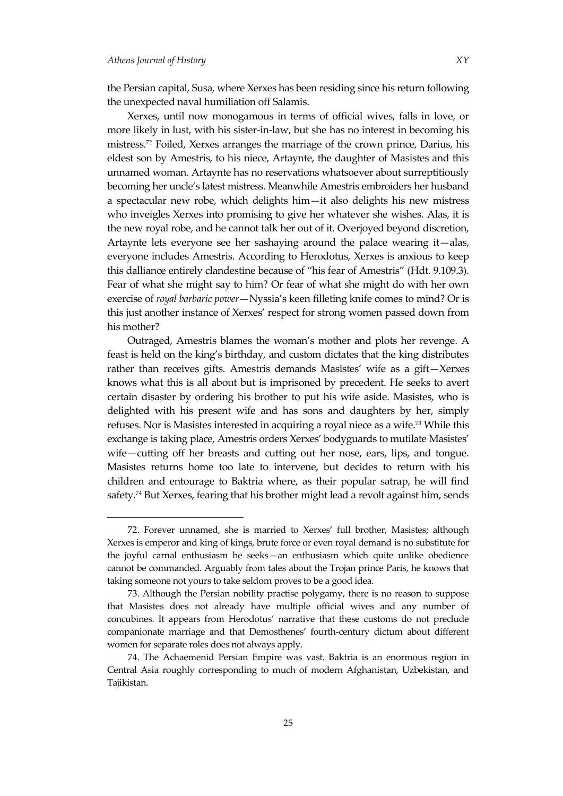the Persian capital, Susa, where Xerxes has been residing since his return following the unexpected naval humiliation off Salamis.

Xerxes, until now monogamous in terms of official wives, falls in love, or more likely in lust, with his sister-in-law, but she has no interest in becoming his mistress.<sup>72</sup> Foiled, Xerxes arranges the marriage of the crown prince, Darius, his eldest son by Amestris, to his niece, Artaynte, the daughter of Masistes and this unnamed woman. Artaynte has no reservations whatsoever about surreptitiously becoming her uncle's latest mistress. Meanwhile Amestris embroiders her husband a spectacular new robe, which delights him—it also delights his new mistress who inveigles Xerxes into promising to give her whatever she wishes. Alas, it is the new royal robe, and he cannot talk her out of it. Overjoyed beyond discretion, Artaynte lets everyone see her sashaying around the palace wearing it—alas, everyone includes Amestris. According to Herodotus, Xerxes is anxious to keep this dalliance entirely clandestine because of 'his fear of Amestris' (Hdt. 9.109.3). Fear of what she might say to him? Or fear of what she might do with her own exercise of *royal barbaric power*—Nyssia's keen filleting knife comes to mind? Or is this just another instance of Xerxes' respect for strong women passed down from his mother?

Outraged, Amestris blames the woman's mother and plots her revenge. A feast is held on the king's birthday, and custom dictates that the king distributes rather than receives gifts. Amestris demands Masistes' wife as a gift—Xerxes knows what this is all about but is imprisoned by precedent. He seeks to avert certain disaster by ordering his brother to put his wife aside. Masistes, who is delighted with his present wife and has sons and daughters by her, simply refuses. Nor is Masistes interested in acquiring a royal niece as a wife.<sup>73</sup> While this exchange is taking place, Amestris orders Xerxes' bodyguards to mutilate Masistes' wife—cutting off her breasts and cutting out her nose, ears, lips, and tongue. Masistes returns home too late to intervene, but decides to return with his children and entourage to Baktria where, as their popular satrap, he will find safety.<sup>74</sup> But Xerxes, fearing that his brother might lead a revolt against him, sends

<sup>72.</sup> Forever unnamed, she is married to Xerxes' full brother, Masistes; although Xerxes is emperor and king of kings, brute force or even royal demand is no substitute for the joyful carnal enthusiasm he seeks—an enthusiasm which quite unlike obedience cannot be commanded. Arguably from tales about the Trojan prince Paris, he knows that taking someone not yours to take seldom proves to be a good idea.

<sup>73.</sup> Although the Persian nobility practise polygamy, there is no reason to suppose that Masistes does not already have multiple official wives and any number of concubines. It appears from Herodotus' narrative that these customs do not preclude companionate marriage and that Demosthenes' fourth-century dictum about different women for separate roles does not always apply.

<sup>74.</sup> The Achaemenid Persian Empire was vast. Baktria is an enormous region in Central Asia roughly corresponding to much of modern Afghanistan, Uzbekistan, and Tajikistan.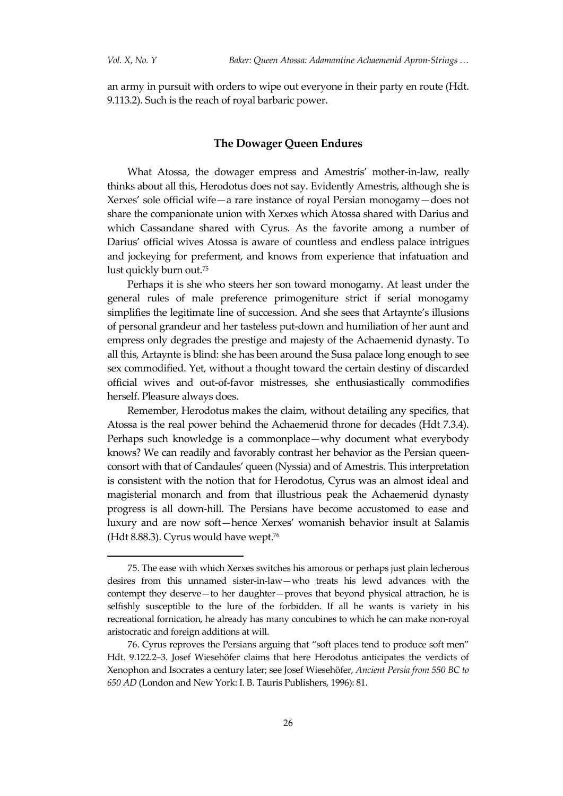an army in pursuit with orders to wipe out everyone in their party en route (Hdt. 9.113.2). Such is the reach of royal barbaric power.

# **The Dowager Queen Endures**

What Atossa, the dowager empress and Amestris' mother-in-law, really thinks about all this, Herodotus does not say. Evidently Amestris, although she is Xerxes' sole official wife—a rare instance of royal Persian monogamy—does not share the companionate union with Xerxes which Atossa shared with Darius and which Cassandane shared with Cyrus. As the favorite among a number of Darius' official wives Atossa is aware of countless and endless palace intrigues and jockeying for preferment, and knows from experience that infatuation and lust quickly burn out.<sup>75</sup>

Perhaps it is she who steers her son toward monogamy. At least under the general rules of male preference primogeniture strict if serial monogamy simplifies the legitimate line of succession. And she sees that Artaynte's illusions of personal grandeur and her tasteless put-down and humiliation of her aunt and empress only degrades the prestige and majesty of the Achaemenid dynasty. To all this, Artaynte is blind: she has been around the Susa palace long enough to see sex commodified. Yet, without a thought toward the certain destiny of discarded official wives and out-of-favor mistresses, she enthusiastically commodifies herself. Pleasure always does.

Remember, Herodotus makes the claim, without detailing any specifics, that Atossa is the real power behind the Achaemenid throne for decades (Hdt 7.3.4). Perhaps such knowledge is a commonplace—why document what everybody knows? We can readily and favorably contrast her behavior as the Persian queenconsort with that of Candaules' queen (Nyssia) and of Amestris. This interpretation is consistent with the notion that for Herodotus, Cyrus was an almost ideal and magisterial monarch and from that illustrious peak the Achaemenid dynasty progress is all down-hill. The Persians have become accustomed to ease and luxury and are now soft—hence Xerxes' womanish behavior insult at Salamis (Hdt 8.88.3). Cyrus would have wept.<sup>76</sup>

<sup>75.</sup> The ease with which Xerxes switches his amorous or perhaps just plain lecherous desires from this unnamed sister-in-law—who treats his lewd advances with the contempt they deserve—to her daughter—proves that beyond physical attraction, he is selfishly susceptible to the lure of the forbidden. If all he wants is variety in his recreational fornication, he already has many concubines to which he can make non-royal aristocratic and foreign additions at will.

<sup>76.</sup> Cyrus reproves the Persians arguing that 'soft places tend to produce soft men' Hdt. 9.122.2‒3. Josef Wiesehöfer claims that here Herodotus anticipates the verdicts of Xenophon and Isocrates a century later; see Josef Wiesehöfer, *Ancient Persia from 550 BC to 650 AD* (London and New York: I. B. Tauris Publishers, 1996): 81.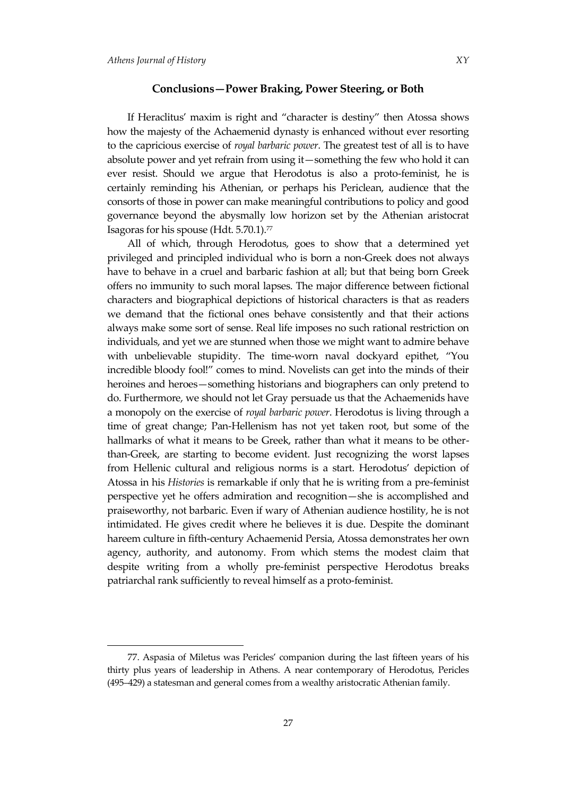# **Conclusions—Power Braking, Power Steering, or Both**

If Heraclitus' maxim is right and 'character is destiny' then Atossa shows how the majesty of the Achaemenid dynasty is enhanced without ever resorting to the capricious exercise of *royal barbaric power*. The greatest test of all is to have absolute power and yet refrain from using it—something the few who hold it can ever resist. Should we argue that Herodotus is also a proto-feminist, he is certainly reminding his Athenian, or perhaps his Periclean, audience that the consorts of those in power can make meaningful contributions to policy and good governance beyond the abysmally low horizon set by the Athenian aristocrat Isagoras for his spouse (Hdt. 5.70.1).<sup>77</sup>

All of which, through Herodotus, goes to show that a determined yet privileged and principled individual who is born a non-Greek does not always have to behave in a cruel and barbaric fashion at all; but that being born Greek offers no immunity to such moral lapses. The major difference between fictional characters and biographical depictions of historical characters is that as readers we demand that the fictional ones behave consistently and that their actions always make some sort of sense. Real life imposes no such rational restriction on individuals, and yet we are stunned when those we might want to admire behave with unbelievable stupidity. The time-worn naval dockyard epithet, 'You incredible bloody fool!' comes to mind. Novelists can get into the minds of their heroines and heroes—something historians and biographers can only pretend to do. Furthermore, we should not let Gray persuade us that the Achaemenids have a monopoly on the exercise of *royal barbaric power*. Herodotus is living through a time of great change; Pan-Hellenism has not yet taken root, but some of the hallmarks of what it means to be Greek, rather than what it means to be otherthan-Greek, are starting to become evident. Just recognizing the worst lapses from Hellenic cultural and religious norms is a start. Herodotus' depiction of Atossa in his *Histories* is remarkable if only that he is writing from a pre-feminist perspective yet he offers admiration and recognition—she is accomplished and praiseworthy, not barbaric. Even if wary of Athenian audience hostility, he is not intimidated. He gives credit where he believes it is due. Despite the dominant hareem culture in fifth-century Achaemenid Persia, Atossa demonstrates her own agency, authority, and autonomy. From which stems the modest claim that despite writing from a wholly pre-feminist perspective Herodotus breaks patriarchal rank sufficiently to reveal himself as a proto-feminist.

<sup>77.</sup> Aspasia of Miletus was Pericles' companion during the last fifteen years of his thirty plus years of leadership in Athens. A near contemporary of Herodotus, Pericles (495–429) a statesman and general comes from a wealthy aristocratic Athenian family.